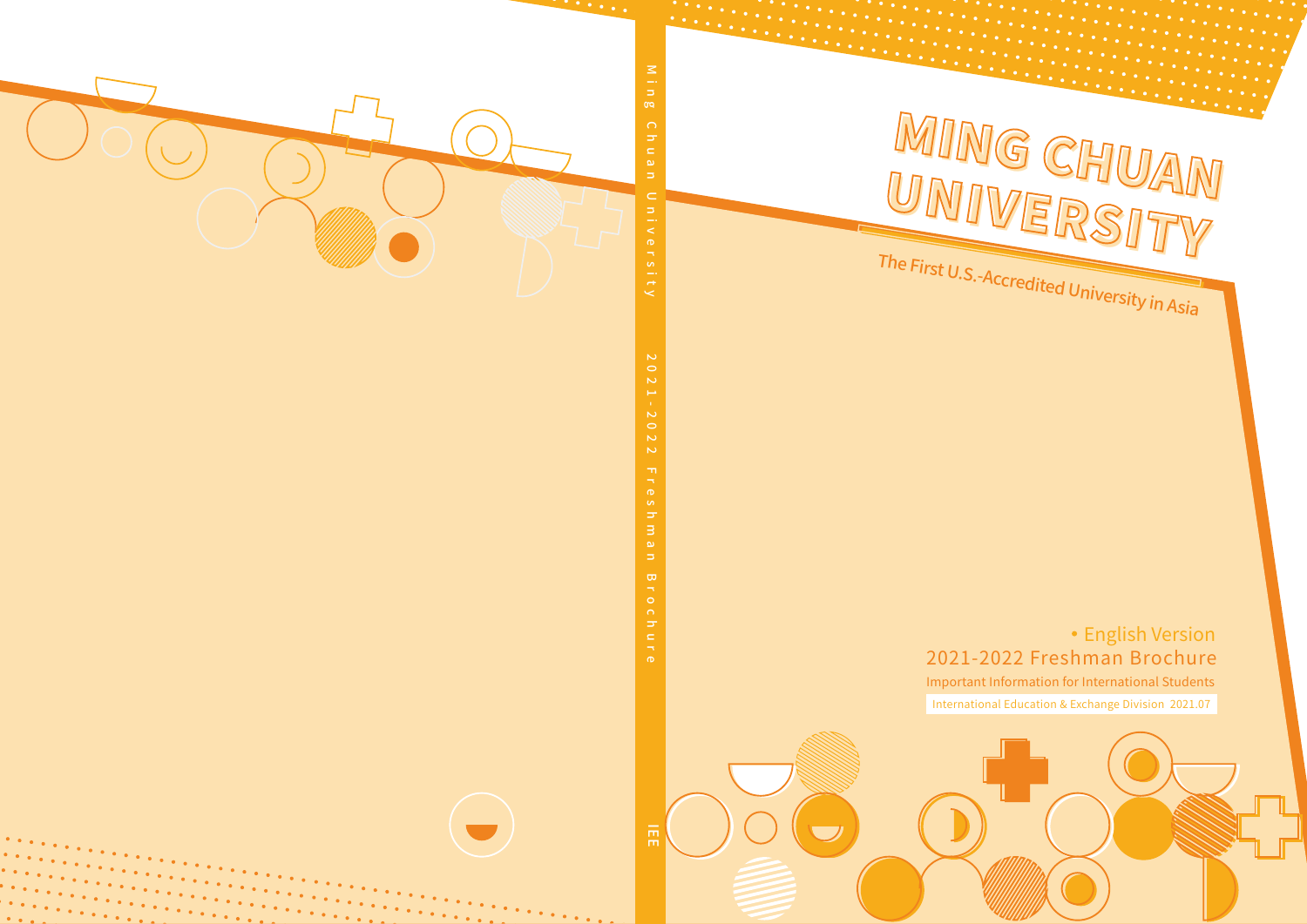

 $\mathcal{L}$  . The set of  $\mathcal{L}$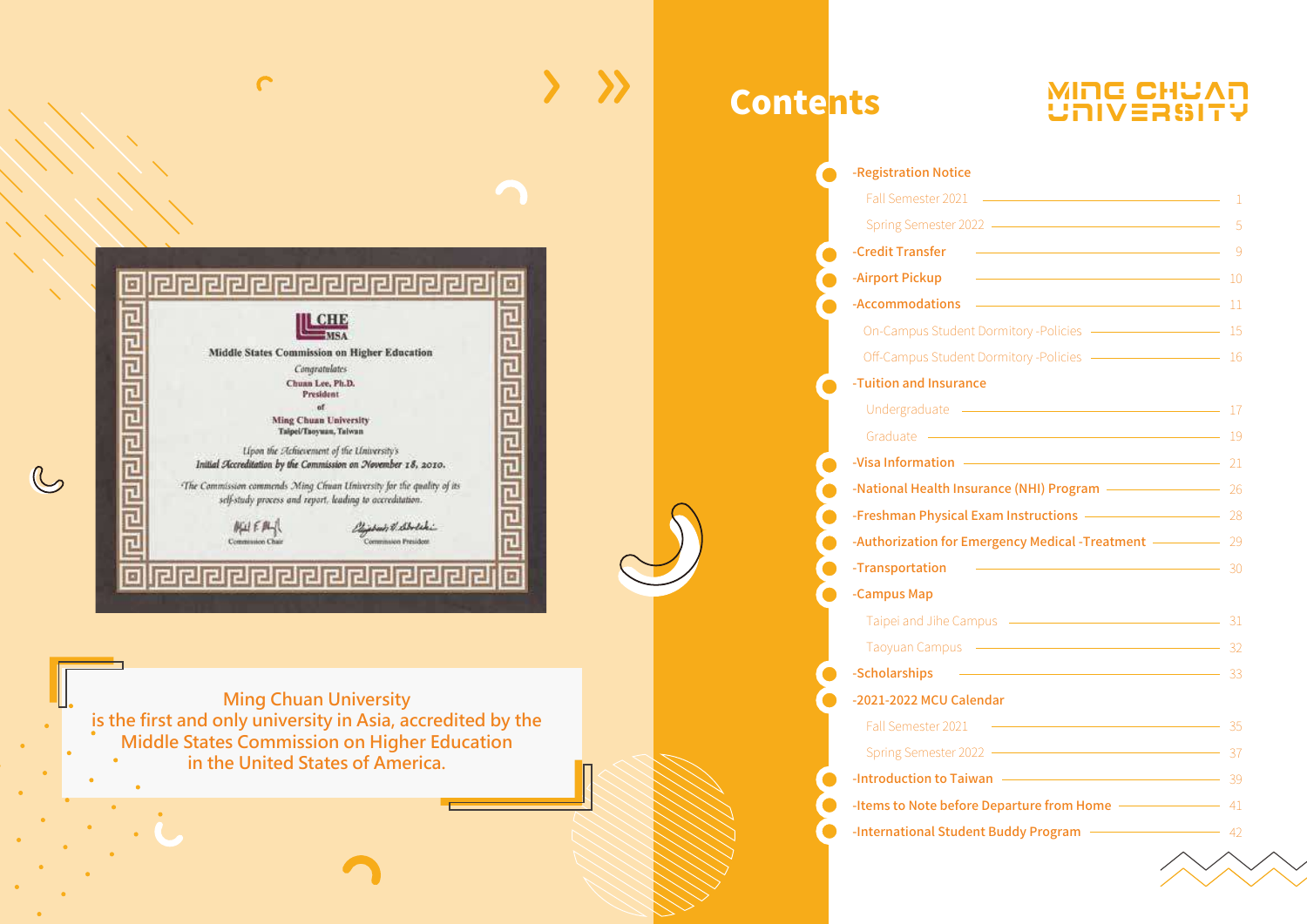

◠

**Ming Chuan University is the first and only university in Asia, accredited by the Middle States Commission on Higher Education in the United States of America.** 

# **Contents**

# MING CHUAN<br>UNIVERSITY

| -Registration Notice                                                                                                                     |             |
|------------------------------------------------------------------------------------------------------------------------------------------|-------------|
| Fall Semester 2021 -                                                                                                                     | 1           |
|                                                                                                                                          | 5           |
| -Credit Transfer<br><u> 1989 - Johann Barn, mars eta bainar eta bainar eta baina eta baina eta baina eta baina eta baina eta baina e</u> | - 9         |
| -Airport Pickup                                                                                                                          |             |
| -Accommodations - 2000 11                                                                                                                |             |
| On-Campus Student Dormitory -Policies - - - - - - - - - - - - - - - 15                                                                   |             |
| Off-Campus Student Dormitory -Policies - 26 16                                                                                           |             |
| -Tuition and Insurance                                                                                                                   |             |
| Undergraduate - 17                                                                                                                       |             |
| Graduate - 19                                                                                                                            |             |
|                                                                                                                                          |             |
| -National Health Insurance (NHI) Program - 26                                                                                            |             |
| -Freshman Physical Exam Instructions - 28                                                                                                |             |
| -Authorization for Emergency Medical -Treatment - 29                                                                                     |             |
| <u> 1980 - Andrea Barbara, amerikan personal (h. 1980).</u><br>-Transportation                                                           | $\equiv$ 30 |
| -Campus Map                                                                                                                              |             |
| Taipei and Jihe Campus - 21                                                                                                              |             |
|                                                                                                                                          | — 32        |
| <u> 1980 - Antonio Alemania, prima postala prestava de la provincia de la provincia de la provincia de la provincia</u><br>-Scholarships | $-33$       |
| -2021-2022 MCU Calendar                                                                                                                  |             |
| Fall Semester 2021                                                                                                                       |             |
|                                                                                                                                          | - 37        |
| -Introduction to Taiwan                                                                                                                  | -39         |
|                                                                                                                                          |             |
| -Items to Note before Departure from Home - 41                                                                                           |             |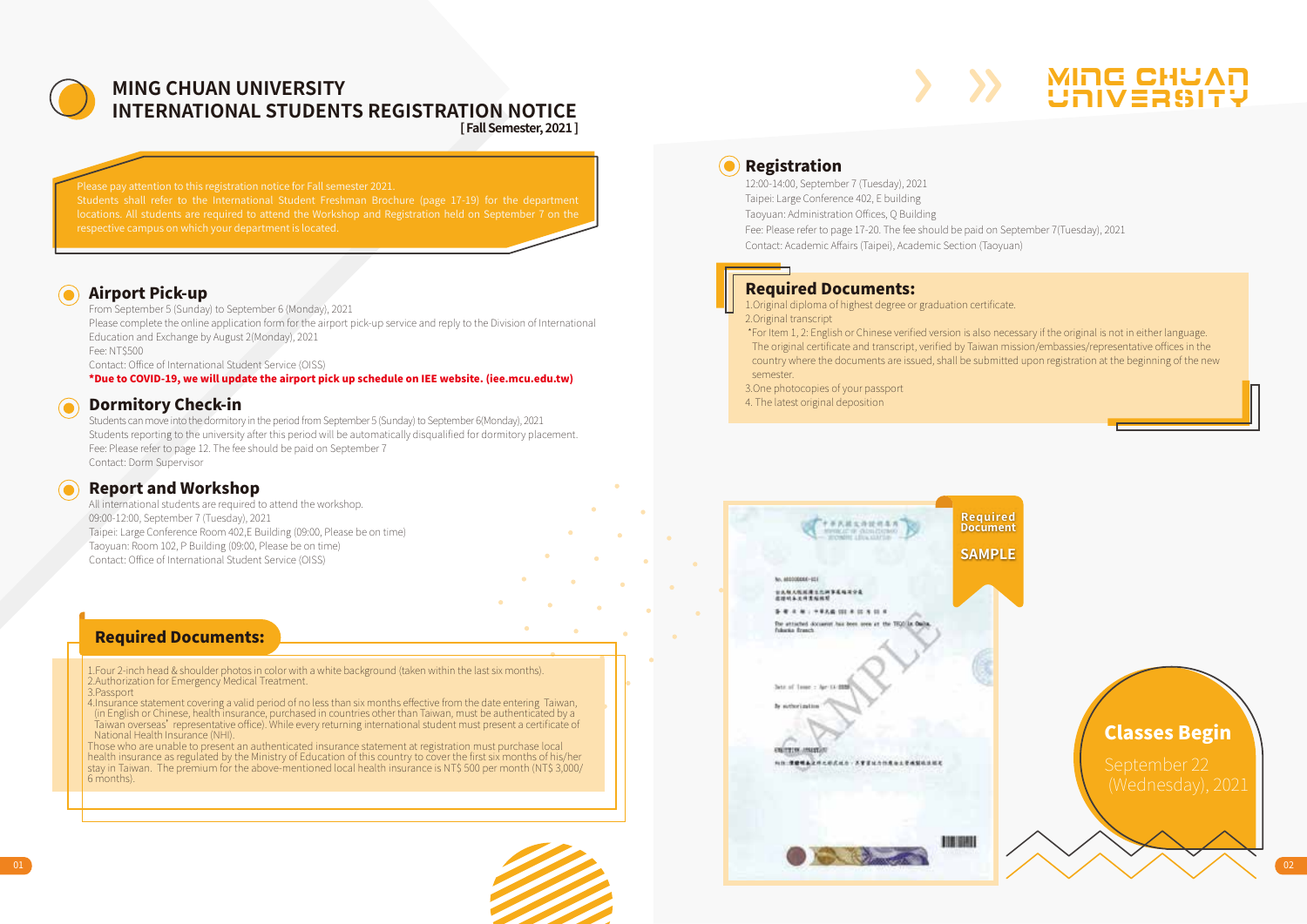

### **MING CHUAN UNIVERSITY INTERNATIONAL STUDENTS REGISTRATION NOTICE [ Fall Semester, 2021 ]**

# respective campus on which your department is located.

### Airport Pick-up

From September 5 (Sunday) to September 6 (Monday), 2021 Please complete the online application form for the airport pick-up service and reply to the Division of International Education and Exchange by August 2(Monday), 2021 Fee: NT\$500 Contact: Office of International Student Service (OISS) \*Due to COVID-19, we will update the airport pick up schedule on IEE website. (iee.mcu.edu.tw)

### Dormitory Check-in

Students can move into the dormitory in the period from September 5 (Sunday) to September 6(Monday), 2021 Students reporting to the university after this period will be automatically disqualified for dormitory placement. Fee: Please refer to page 12. The fee should be paid on September 7 Contact: Dorm Supervisor

### Report and Workshop

All international students are required to attend the workshop. 09:00-12:00, September 7 (Tuesday), 2021 Taipei: Large Conference Room 402,E Building (09:00, Please be on time) Taoyuan: Room 102, P Building (09:00, Please be on time) Contact: Office of International Student Service (OISS)

### Required Documents:

1.Four 2-inch head & shoulder photos in color with a white background (taken within the last six months). 2.Authorization for Emergency Medical Treatment.

3.Passport

4.Insurance statement covering a valid period of no less than six months effective from the date entering Taiwan, (in English or Chinese, health insurance, purchased in countries other than Taiwan, must be authenticated by a Taiwan overseas' representative office). While every returning international student must present a certificate of National Health Insurance (NHI).

Those who are unable to present an authenticated insurance statement at registration must purchase local health insurance as regulated by the Ministry of Education of this country to cover the first six months of his/her stay in Taiwan. The premium for the above-mentioned local health insurance is NT\$ 500 per month (NT\$ 3,000/ 6 months).

### **O** Registration 12:00-14:00, September 7 (Tuesday), 2021 Taipei: Large Conference 402, E building

Taoyuan: Administration Offices, Q Building

Fee: Please refer to page 17-20. The fee should be paid on September 7(Tuesday), 2021 Contact: Academic Affairs (Taipei), Academic Section (Taoyuan)

# Required Documents:

1.Original diploma of highest degree or graduation certificate.

2.Original transcript

 \*For Item 1, 2: English or Chinese verified version is also necessary if the original is not in either language. The original certificate and transcript, verified by Taiwan mission/embassies/representative offices in the country where the documents are issued, shall be submitted upon registration at the beginning of the new semester.

MING CHUAN UNIVERSITY

3.One photocopies of your passport

4. The latest original deposition

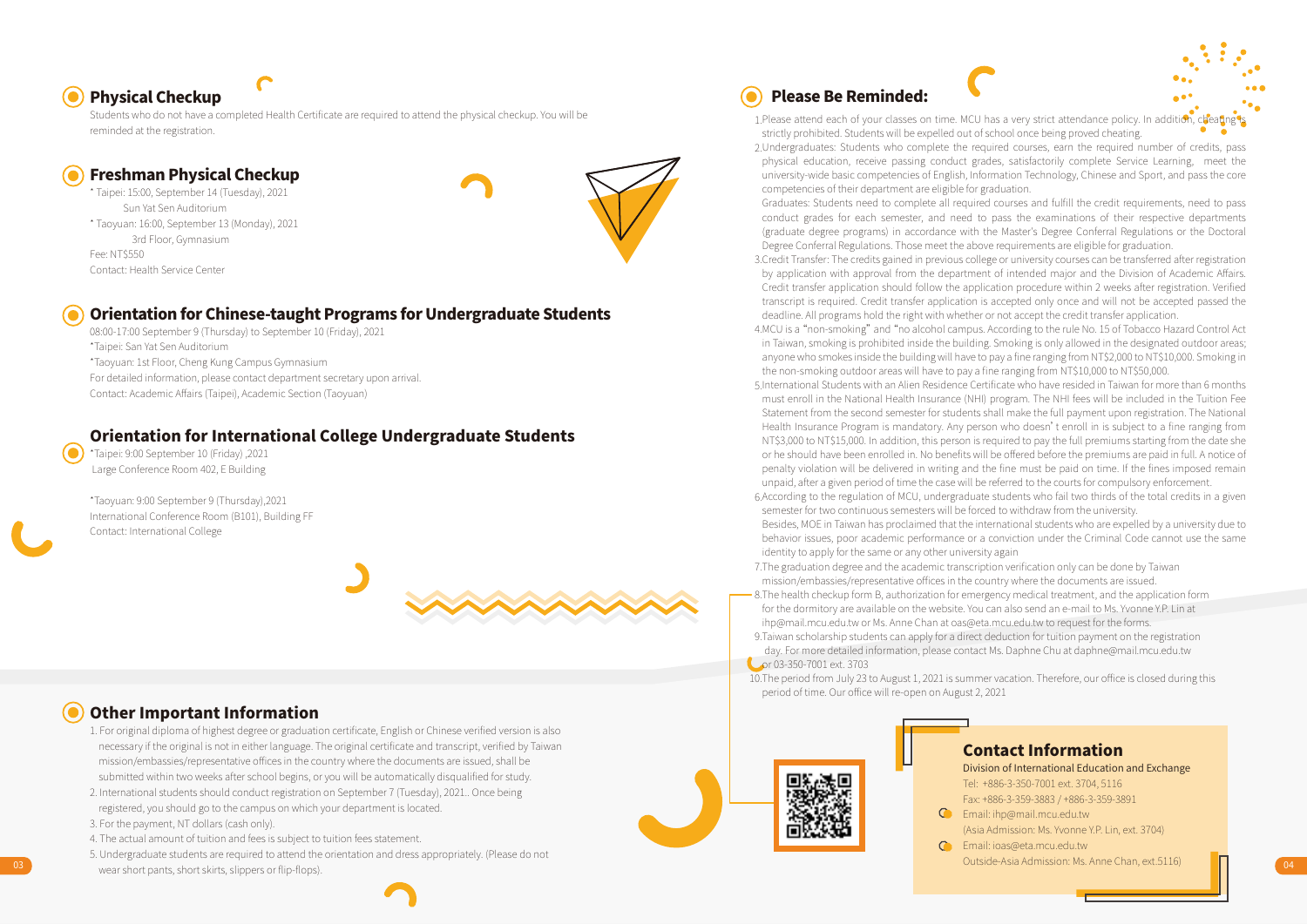# Physical Checkup

Students who do not have a completed Health Certificate are required to attend the physical checkup. You will be reminded at the registration.

### Freshman Physical Checkup

\* Taipei: 15:00, September 14 (Tuesday), 2021 Sun Yat Sen Auditorium \* Taoyuan: 16:00, September 13 (Monday), 2021 3rd Floor, Gymnasium Fee: NT\$550 Contact: Health Service Center



### Orientation for Chinese-taught Programs for Undergraduate Students

08:00-17:00 September 9 (Thursday) to September 10 (Friday), 2021 \*Taipei: San Yat Sen Auditorium \*Taoyuan: 1st Floor, Cheng Kung Campus Gymnasium For detailed information, please contact department secretary upon arrival. Contact: Academic Affairs (Taipei), Academic Section (Taoyuan)

### Orientation for International College Undergraduate Students

\*Taipei: 9:00 September 10 (Friday) ,2021 Large Conference Room 402, E Building

\*Taoyuan: 9:00 September 9 (Thursday),2021 International Conference Room (B101), Building FF Contact: International College



### Other Important Information

- 1. For original diploma of highest degree or graduation certificate, English or Chinese verified version is also necessary if the original is not in either language. The original certificate and transcript, verified by Taiwan mission/embassies/representative offices in the country where the documents are issued, shall be submitted within two weeks after school begins, or you will be automatically disqualified for study.
- 2. International students should conduct registration on September 7 (Tuesday), 2021.. Once being registered, you should go to the campus on which your department is located.
- 3. For the payment, NT dollars (cash only).
- 4. The actual amount of tuition and fees is subject to tuition fees statement.
- 03 04 wear short pants, short skirts, slippers or flip-flops). 5. Undergraduate students are required to attend the orientation and dress appropriately. (Please do not

# Please Be Reminded:

1. Please attend each of your classes on time. MCU has a very strict attendance policy. In addition, cheating is strictly prohibited. Students will be expelled out of school once being proved cheating.

- 2. Undergraduates: Students who complete the required courses, earn the required number of credits, pass physical education, receive passing conduct grades, satisfactorily complete Service Learning, meet the university-wide basic competencies of English, Information Technology, Chinese and Sport, and pass the core competencies of their department are eligible for graduation.
- Graduates: Students need to complete all required courses and fulfill the credit requirements, need to pass conduct grades for each semester, and need to pass the examinations of their respective departments (graduate degree programs) in accordance with the Master's Degree Conferral Regulations or the Doctoral Degree Conferral Regulations. Those meet the above requirements are eligible for graduation.
- 3. Credit Transfer: The credits gained in previous college or university courses can be transferred after registration by application with approval from the department of intended major and the Division of Academic Affairs. Credit transfer application should follow the application procedure within 2 weeks after registration. Verified transcript is required. Credit transfer application is accepted only once and will not be accepted passed the deadline. All programs hold the right with whether or not accept the credit transfer application.
- 4. MCU is a "non-smoking" and "no alcohol campus. According to the rule No. 15 of Tobacco Hazard Control Act in Taiwan, smoking is prohibited inside the building. Smoking is only allowed in the designated outdoor areas; anyone who smokes inside the building will have to pay a fine ranging from NT\$2,000 to NT\$10,000. Smoking in the non-smoking outdoor areas will have to pay a fine ranging from NT\$10,000 to NT\$50,000.
- 5. International Students with an Alien Residence Certificate who have resided in Taiwan for more than 6 months must enroll in the National Health Insurance (NHI) program. The NHI fees will be included in the Tuition Fee Statement from the second semester for students shall make the full payment upon registration. The National Health Insurance Program is mandatory. Any person who doesn't enroll in is subject to a fine ranging from NT\$3,000 to NT\$15,000. In addition, this person is required to pay the full premiums starting from the date she or he should have been enrolled in. No benefits will be offered before the premiums are paid in full. A notice of penalty violation will be delivered in writing and the fine must be paid on time. If the fines imposed remain unpaid, after a given period of time the case will be referred to the courts for compulsory enforcement.
- 6. According to the regulation of MCU, undergraduate students who fail two thirds of the total credits in a given semester for two continuous semesters will be forced to withdraw from the university.
- Besides, MOE in Taiwan has proclaimed that the international students who are expelled by a university due to behavior issues, poor academic performance or a conviction under the Criminal Code cannot use the same identity to apply for the same or any other university again
- 7. The graduation degree and the academic transcription verification only can be done by Taiwan mission/embassies/representative offices in the country where the documents are issued.
- 8. The health checkup form B, authorization for emergency medical treatment, and the application form for the dormitory are available on the website. You can also send an e-mail to Ms. Yvonne Y.P. Lin at ihp@mail.mcu.edu.tw or Ms. Anne Chan at oas@eta.mcu.edu.tw to request for the forms.
- 9. Taiwan scholarship students can apply for a direct deduction for tuition payment on the registration day. For more detailed information, please contact Ms. Daphne Chu at daphne@mail.mcu.edu.tw or 03-350-7001 ext. 3703
- 10. The period from July 23 to August 1, 2021 is summer vacation. Therefore, our office is closed during this period of time. Our office will re-open on August 2, 2021



### Contact Information

Division of International Education and Exchange Tel: +886-3-350-7001 ext. 3704, 5116 Fax: +886-3-359-3883 / +886-3-359-3891

- Email: ihp@mail.mcu.edu.tw (Asia Admission: Ms. Yvonne Y.P. Lin, ext. 3704)
- Email: ioas@eta.mcu.edu.tw
	- Outside-Asia Admission: Ms. Anne Chan, ext.5116)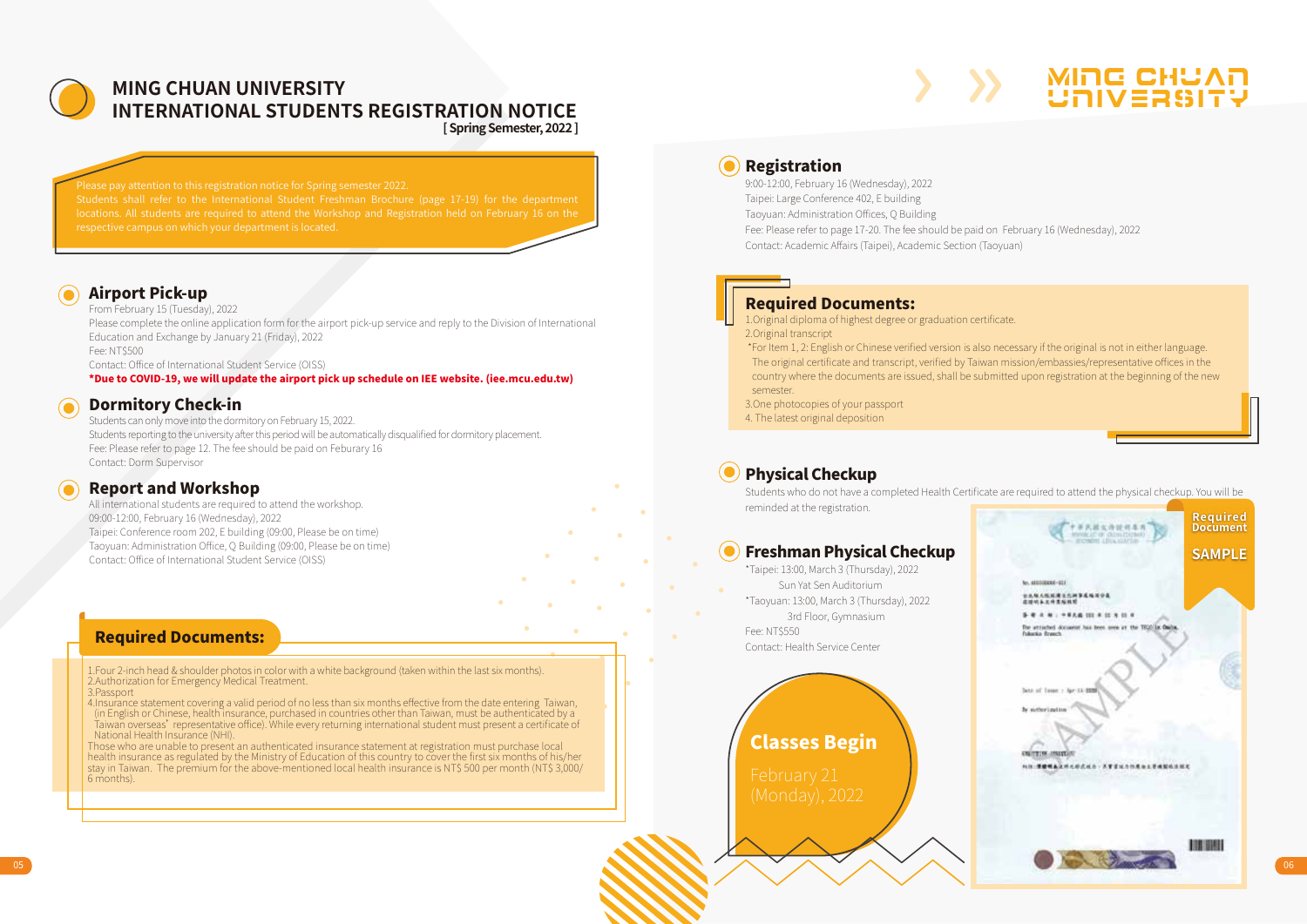

### MING CHUAN UNIVERSITY<br>International Churchies Recister Tion Notice **INTERNATIONAL STUDENTS REGISTRATION NOTICE [ Spring Semester, 2022 ]**

# respective campus on which your department is located.

### Airport Pick-up

From February 15 (Tuesday), 2022 Please complete the online application form for the airport pick-up service and reply to the Division of International Education and Exchange by January 21 (Friday), 2022 Fee: NT\$500 Contact: Office of International Student Service (OISS) \*Due to COVID-19, we will update the airport pick up schedule on IEE website. (iee.mcu.edu.tw)

### Dormitory Check-in

Students can only move into the dormitory on February 15, 2022. Students reporting to the university after this period will be automatically disqualified for dormitory placement. Fee: Please refer to page 12. The fee should be paid on Feburary 16 Contact: Dorm Supervisor

### Report and Workshop

All international students are required to attend the workshop. 09:00-12:00, February 16 (Wednesday), 2022 Taipei: Conference room 202, E building (09:00, Please be on time) Taoyuan: Administration Office, Q Building (09:00, Please be on time) Contact: Office of International Student Service (OISS)

### Required Documents:

1.Four 2-inch head & shoulder photos in color with a white background (taken within the last six months). 2.Authorization for Emergency Medical Treatment.

3.Passport

4.Insurance statement covering a valid period of no less than six months effective from the date entering Taiwan, (in English or Chinese, health insurance, purchased in countries other than Taiwan, must be authenticated by a Taiwan overseas' representative office). While every returning international student must present a certificate of National Health Insurance (NHI).

Those who are unable to present an authenticated insurance statement at registration must purchase local health insurance as regulated by the Ministry of Education of this country to cover the first six months of his/her stay in Taiwan. The premium for the above-mentioned local health insurance is NT\$ 500 per month (NT\$ 3,000/ 6 months).

### **(a)** Registration

9:00-12:00, February 16 (Wednesday), 2022 Taipei: Large Conference 402, E building

Taoyuan: Administration Offices, Q Building

Fee: Please refer to page 17-20. The fee should be paid on February 16 (Wednesday), 2022 Contact: Academic Affairs (Taipei), Academic Section (Taoyuan)

### Required Documents:

1.Original diploma of highest degree or graduation certificate. 2.Original transcript

 \*For Item 1, 2: English or Chinese verified version is also necessary if the original is not in either language. The original certificate and transcript, verified by Taiwan mission/embassies/representative offices in the country where the documents are issued, shall be submitted upon registration at the beginning of the new semester.

3.One photocopies of your passport

4. The latest original deposition

### Physical Checkup

Students who do not have a completed Health Certificate are required to attend the physical checkup. You will be reminded at the registration.

### Freshman Physical Checkup

\*Taipei: 13:00, March 3 (Thursday), 2022 Sun Yat Sen Auditorium \*Taoyuan: 13:00, March 3 (Thursday), 2022 3rd Floor, Gymnasium Fee: NT\$550 Contact: Health Service Center

# Classes Begin



MING CHUAN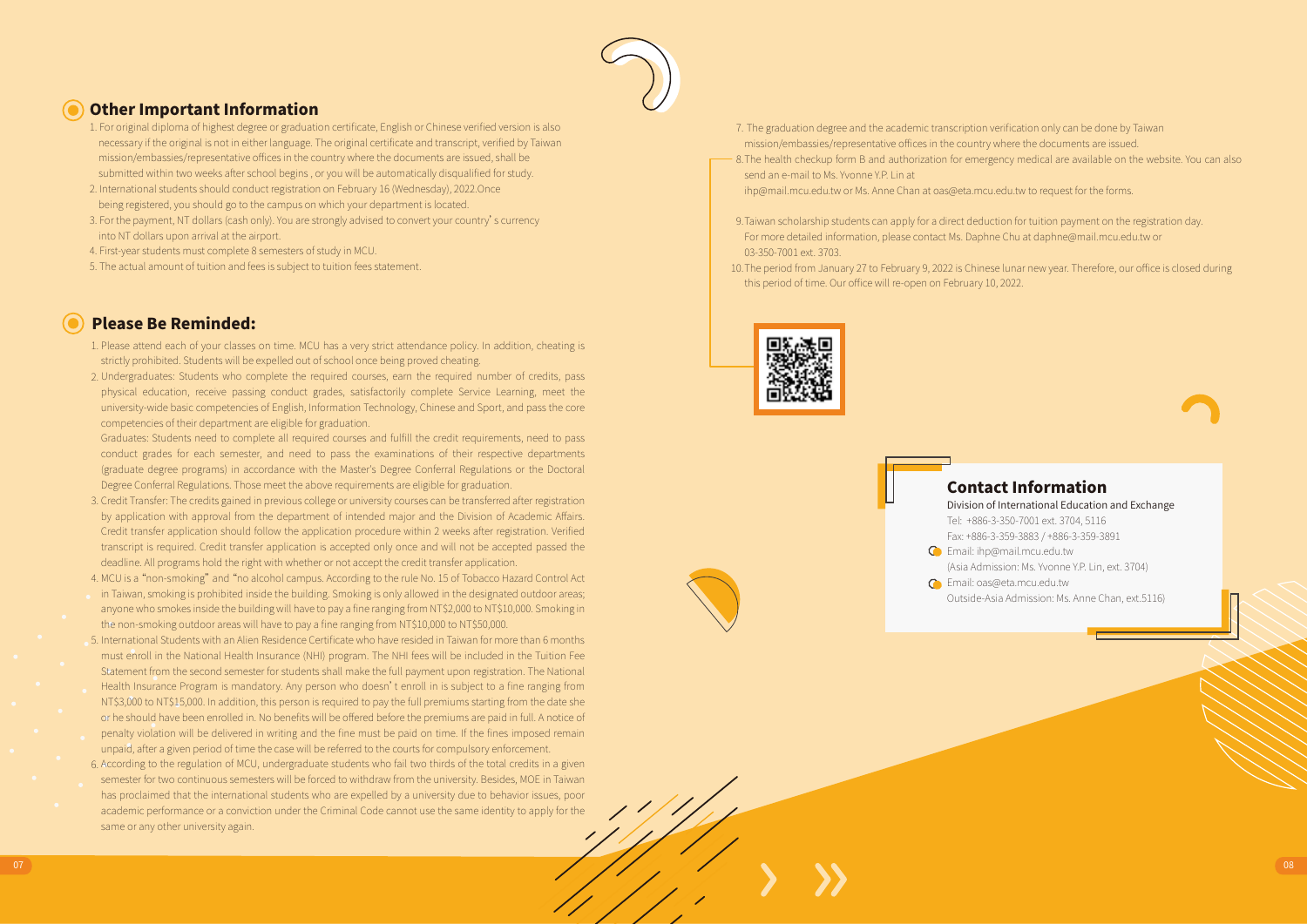

### Other Important Information

- 1. For original diploma of highest degree or graduation certificate, English or Chinese verified version is also necessary if the original is not in either language. The original certificate and transcript, verified by Taiwan mission/embassies/representative offices in the country where the documents are issued, shall be submitted within two weeks after school begins , or you will be automatically disqualified for study.
- 2. International students should conduct registration on February 16 (Wednesday), 2022.Once being registered, you should go to the campus on which your department is located.
- 3. For the payment, NT dollars (cash only). You are strongly advised to convert your country's currency into NT dollars upon arrival at the airport.
- 4. First-year students must complete 8 semesters of study in MCU.
- 5. The actual amount of tuition and fees is subject to tuition fees statement.

### Please Be Reminded:

- 1. Please attend each of your classes on time. MCU has a very strict attendance policy. In addition, cheating is strictly prohibited. Students will be expelled out of school once being proved cheating.
- 2. Undergraduates: Students who complete the required courses, earn the required number of credits, pass physical education, receive passing conduct grades, satisfactorily complete Service Learning, meet the university-wide basic competencies of English, Information Technology, Chinese and Sport, and pass the core competencies of their department are eligible for graduation.

Graduates: Students need to complete all required courses and fulfill the credit requirements, need to pass conduct grades for each semester, and need to pass the examinations of their respective departments (graduate degree programs) in accordance with the Master's Degree Conferral Regulations or the Doctoral Degree Conferral Regulations. Those meet the above requirements are eligible for graduation.

- 3. Credit Transfer: The credits gained in previous college or university courses can be transferred after registration by application with approval from the department of intended major and the Division of Academic Affairs. Credit transfer application should follow the application procedure within 2 weeks after registration. Verified transcript is required. Credit transfer application is accepted only once and will not be accepted passed the deadline. All programs hold the right with whether or not accept the credit transfer application.
- 4. MCU is a "non-smoking" and "no alcohol campus. According to the rule No. 15 of Tobacco Hazard Control Act
- in Taiwan, smoking is prohibited inside the building. Smoking is only allowed in the designated outdoor areas; anyone who smokes inside the building will have to pay a fine ranging from NT\$2,000 to NT\$10,000. Smoking in the non-smoking outdoor areas will have to pay a fine ranging from NT\$10,000 to NT\$50,000.
- 5. International Students with an Alien Residence Certificate who have resided in Taiwan for more than 6 months must enroll in the National Health Insurance (NHI) program. The NHI fees will be included in the Tuition Fee Statement from the second semester for students shall make the full payment upon registration. The National
- Health Insurance Program is mandatory. Any person who doesn't enroll in is subject to a fine ranging from NT\$3,000 to NT\$15,000. In addition, this person is required to pay the full premiums starting from the date she or he should have been enrolled in. No benefits will be offered before the premiums are paid in full. A notice of
- penalty violation will be delivered in writing and the fine must be paid on time. If the fines imposed remain unpaid, after a given period of time the case will be referred to the courts for compulsory enforcement.
- 6. According to the regulation of MCU, undergraduate students who fail two thirds of the total credits in a given semester for two continuous semesters will be forced to withdraw from the university. Besides, MOE in Taiwan has proclaimed that the international students who are expelled by a university due to behavior issues, poor academic performance or a conviction under the Criminal Code cannot use the same identity to apply for the same or any other university again.
- 7. The graduation degree and the academic transcription verification only can be done by Taiwan mission/embassies/representative offices in the country where the documents are issued.
- 8. The health checkup form B and authorization for emergency medical are available on the website. You can also send an e-mail to Ms. Yvonne Y.P. Lin at

ihp@mail.mcu.edu.tw or Ms. Anne Chan at oas@eta.mcu.edu.tw to request for the forms.

- 9. Taiwan scholarship students can apply for a direct deduction for tuition payment on the registration day. For more detailed information, please contact Ms. Daphne Chu at daphne@mail.mcu.edu.tw or 03-350-7001 ext. 3703.
- 10. The period from January 27 to February 9, 2022 is Chinese lunar new year. Therefore, our office is closed during this period of time. Our office will re-open on February 10, 2022.





Division of International Education and Exchange Tel: +886-3-350-7001 ext. 3704, 5116 Fax: +886-3-359-3883 / +886-3-359-3891

- Email: ihp@mail.mcu.edu.tw (Asia Admission: Ms. Yvonne Y.P. Lin, ext. 3704)
- Email: oas@eta.mcu.edu.tw Outside-Asia Admission: Ms. Anne Chan, ext.5116)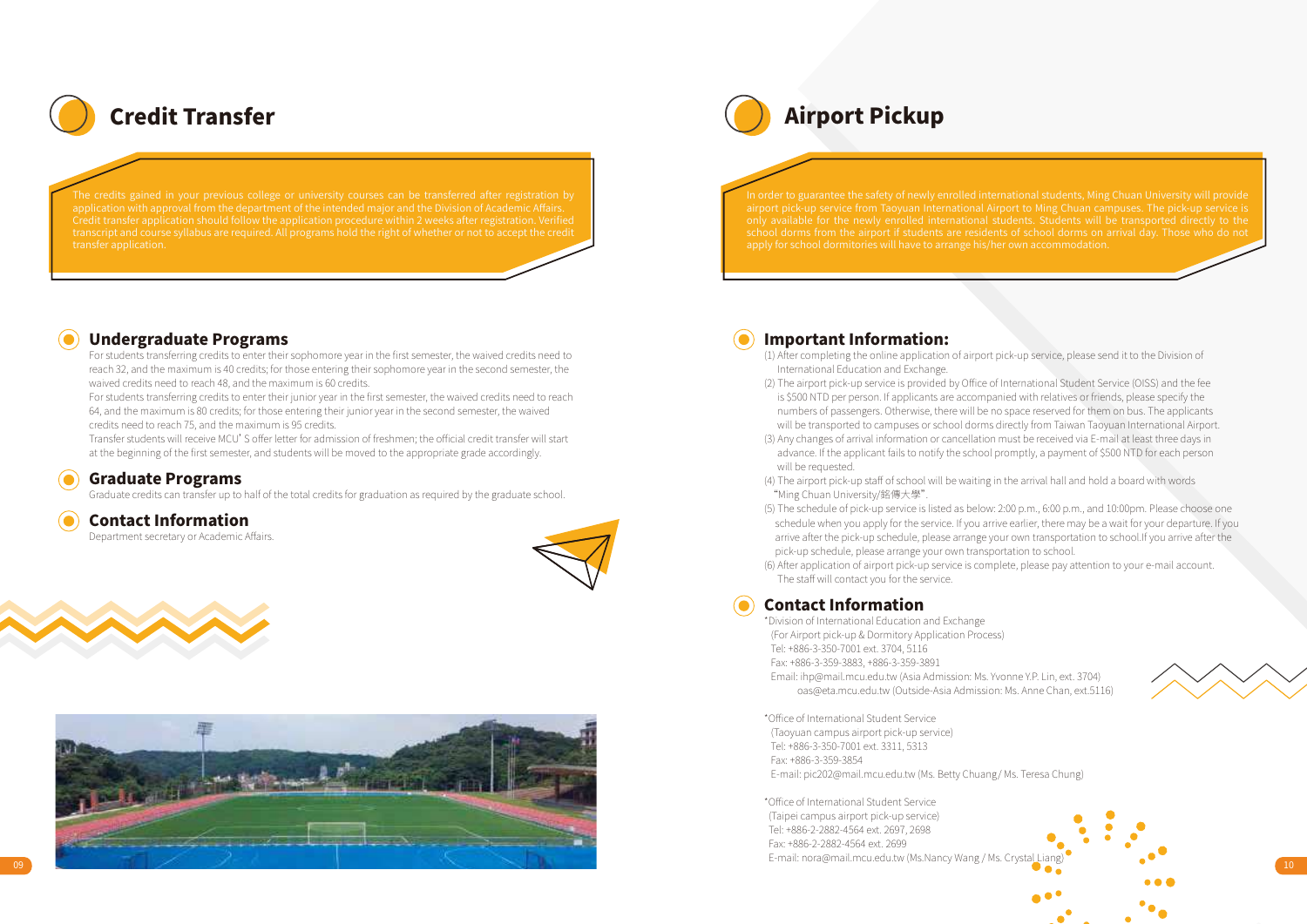

### Undergraduate Programs

For students transferring credits to enter their sophomore year in the first semester, the waived credits need to reach 32, and the maximum is 40 credits; for those entering their sophomore year in the second semester, the waived credits need to reach 48, and the maximum is 60 credits.

For students transferring credits to enter their junior year in the first semester, the waived credits need to reach 64, and the maximum is 80 credits; for those entering their junior year in the second semester, the waived credits need to reach 75, and the maximum is 95 credits.

Transfer students will receive MCU'S offer letter for admission of freshmen; the official credit transfer will start at the beginning of the first semester, and students will be moved to the appropriate grade accordingly.

### Graduate Programs

Graduate credits can transfer up to half of the total credits for graduation as required by the graduate school.

### Contact Information

Department secretary or Academic Affairs.







Credit Transfer Airport Pickup

### Important Information:

- (1) After completing the online application of airport pick-up service, please send it to the Division of International Education and Exchange.
- (2) The airport pick-up service is provided by Office of International Student Service (OISS) and the fee is \$500 NTD per person. If applicants are accompanied with relatives or friends, please specify the numbers of passengers. Otherwise, there will be no space reserved for them on bus. The applicants will be transported to campuses or school dorms directly from Taiwan Taoyuan International Airport.
- (3) Any changes of arrival information or cancellation must be received via E-mail at least three days in advance. If the applicant fails to notify the school promptly, a payment of \$500 NTD for each person will be requested.
- (4) The airport pick-up staff of school will be waiting in the arrival hall and hold a board with words "Ming Chuan University/銘傳大學".
- (5) The schedule of pick-up service is listed as below: 2:00 p.m., 6:00 p.m., and 10:00pm. Please choose one schedule when you apply for the service. If you arrive earlier, there may be a wait for your departure. If you arrive after the pick-up schedule, please arrange your own transportation to school.If you arrive after the pick-up schedule, please arrange your own transportation to school.
- (6) After application of airport pick-up service is complete, please pay attention to your e-mail account. The staff will contact you for the service.

### Contact Information

\*Division of International Education and Exchange (For Airport pick-up & Dormitory Application Process) Tel: +886-3-350-7001 ext. 3704, 5116 Fax: +886-3-359-3883, +886-3-359-3891

 Email: ihp@mail.mcu.edu.tw (Asia Admission: Ms. Yvonne Y.P. Lin, ext. 3704) oas@eta.mcu.edu.tw (Outside-Asia Admission: Ms. Anne Chan, ext.5116)

\*Office of International Student Service (Taoyuan campus airport pick-up service) Tel: +886-3-350-7001 ext. 3311, 5313 Fax: +886-3-359-3854 E-mail: pic202@mail.mcu.edu.tw (Ms. Betty Chuang/ Ms. Teresa Chung)

\*Office of International Student Service (Taipei campus airport pick-up service) Tel: +886-2-2882-4564 ext. 2697, 2698 Fax: +886-2-2882-4564 ext. 2699 E-mail: nora@mail.mcu.edu.tw (Ms.Nancy Wang / Ms. Crystal

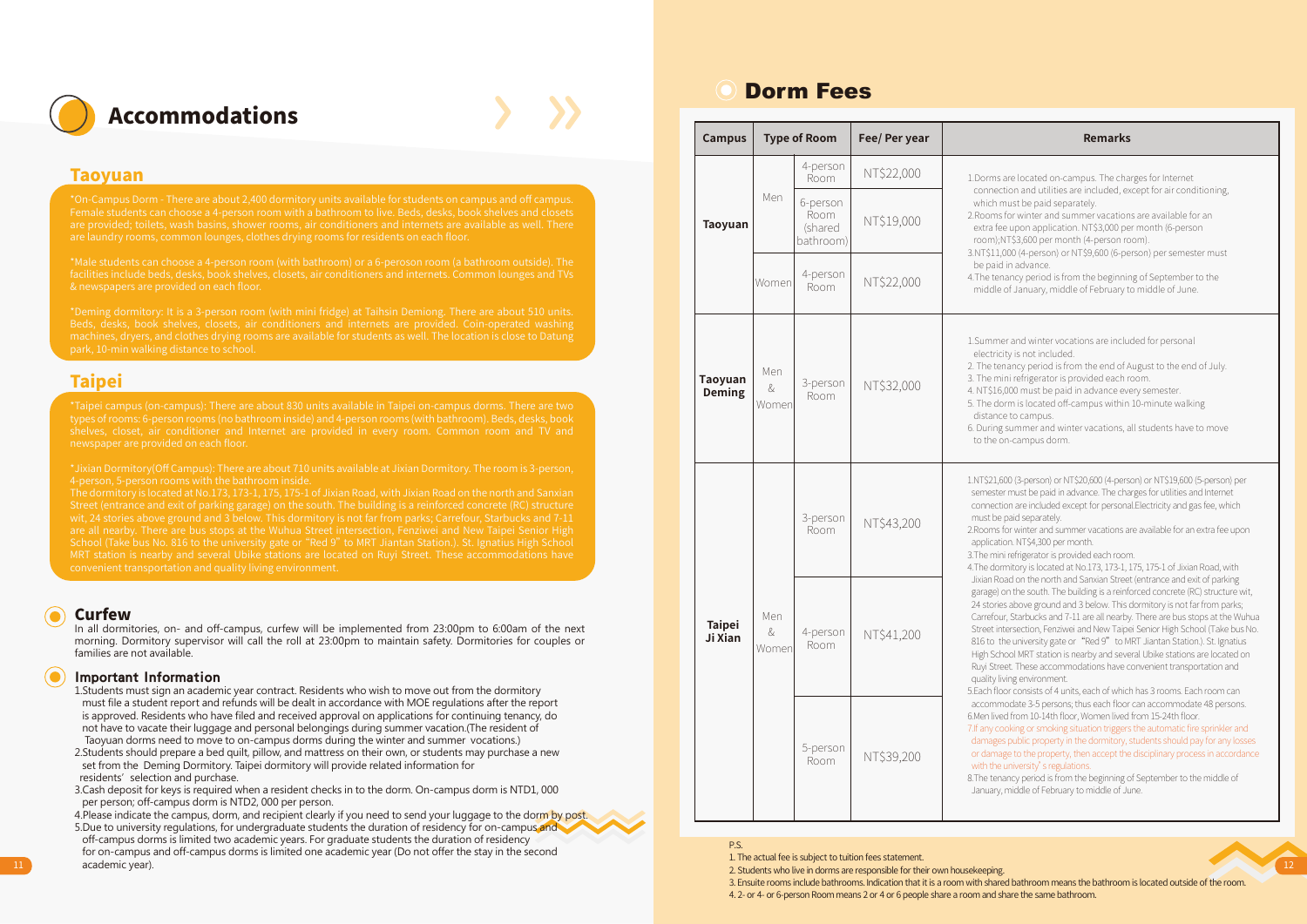

### Taoyuan

Female students can choose a 4-person room with a bathroom to live. Beds, desks, book shelves and closets are laundry rooms, common lounges, clothes drying rooms for residents on each floor.

\*Male students can choose a 4-person room (with bathroom) or a 6-peroson room (a bathroom outside). The facilities include beds, desks, book shelves, closets, air conditioners and internets. Common lounges and TVs & newspapers are provided on each floor.

### **Taipei**

### Curfew

In all dormitories, on- and off-campus, curfew will be implemented from 23:00pm to 6:00am of the next morning. Dormitory supervisor will call the roll at 23:00pm to maintain safety. Dormitories for couples or families are not available.

### Important Information

- 1.Students must sign an academic year contract. Residents who wish to move out from the dormitory must file a student report and refunds will be dealt in accordance with MOE regulations after the report is approved. Residents who have filed and received approval on applications for continuing tenancy, do not have to vacate their luggage and personal belongings during summer vacation.(The resident of Taoyuan dorms need to move to on-campus dorms during the winter and summer vocations.)
- 2.Students should prepare a bed quilt, pillow, and mattress on their own, or students may purchase a new set from the Deming Dormitory. Taipei dormitory will provide related information for residents' selection and purchase.
- 3.Cash deposit for keys is required when a resident checks in to the dorm. On-campus dorm is NTD1, 000 per person; off-campus dorm is NTD2, 000 per person.

4. Please indicate the campus, dorm, and recipient clearly if you need to send your luggage to the dorm by post. 5.Due to university regulations, for undergraduate students the duration of residency for on-campus and off-campus dorms is limited two academic years. For graduate students the duration of residency for on-campus and off-campus dorms is limited one academic year (Do not offer the stay in the second 11 academic year). 2. Students who live in downstructure and scheme their own housekeeping. 2. Students who live in downs are responsible for their own housekeeping.

# Dorm Fees

| Campus                   |                      | <b>Type of Room</b>                             | Fee/ Per year | <b>Remarks</b>                                                                                                                                                                                                                                                                                                                                                                                                                                                                                                                                                                                                                                                                                                                                                    |
|--------------------------|----------------------|-------------------------------------------------|---------------|-------------------------------------------------------------------------------------------------------------------------------------------------------------------------------------------------------------------------------------------------------------------------------------------------------------------------------------------------------------------------------------------------------------------------------------------------------------------------------------------------------------------------------------------------------------------------------------------------------------------------------------------------------------------------------------------------------------------------------------------------------------------|
|                          |                      | 4-person<br>Room                                | NT\$22,000    | 1. Dorms are located on-campus. The charges for Internet                                                                                                                                                                                                                                                                                                                                                                                                                                                                                                                                                                                                                                                                                                          |
| Taoyuan                  | Men                  | 6-person<br><b>Room</b><br>(shared<br>bathroom) | NT\$19,000    | connection and utilities are included, except for air conditioning,<br>which must be paid separately.<br>2. Rooms for winter and summer vacations are available for an<br>extra fee upon application. NT\$3,000 per month (6-person<br>room);NT\$3,600 per month (4-person room).<br>3.NT\$11,000 (4-person) or NT\$9,600 (6-person) per semester must                                                                                                                                                                                                                                                                                                                                                                                                            |
|                          | Women                | 4-person<br>Room                                | NT\$22,000    | be paid in advance.<br>4. The tenancy period is from the beginning of September to the<br>middle of January, middle of February to middle of June.                                                                                                                                                                                                                                                                                                                                                                                                                                                                                                                                                                                                                |
| Taoyuan<br>Deming        | Men<br>&<br>Women    | 3-person<br><b>Room</b>                         | NT\$32,000    | 1. Summer and winter vocations are included for personal<br>electricity is not included.<br>2. The tenancy period is from the end of August to the end of July.<br>3. The mini refrigerator is provided each room.<br>4. NT\$16,000 must be paid in advance every semester.<br>5. The dorm is located off-campus within 10-minute walking<br>distance to campus.<br>6. During summer and winter vacations, all students have to move<br>to the on-campus dorm.                                                                                                                                                                                                                                                                                                    |
| <b>Taipei</b><br>Ji Xian |                      | 3-person<br>Room                                | NT\$43,200    | 1.NT\$21,600 (3-person) or NT\$20,600 (4-person) or NT\$19,600 (5-person) per<br>semester must be paid in advance. The charges for utilities and Internet<br>connection are included except for personal.Electricity and gas fee, which<br>must be paid separately.<br>2. Rooms for winter and summer vacations are available for an extra fee upon<br>application. NT\$4,300 per month.<br>3. The mini refrigerator is provided each room.<br>4. The dormitory is located at No.173, 173-1, 175, 175-1 of Jixian Road, with                                                                                                                                                                                                                                      |
|                          | Men<br>$\&$<br>Women | 4-person<br>Room                                | NT\$41,200    | Jixian Road on the north and Sanxian Street (entrance and exit of parking<br>garage) on the south. The building is a reinforced concrete (RC) structure wit,<br>24 stories above ground and 3 below. This dormitory is not far from parks;<br>Carrefour, Starbucks and 7-11 are all nearby. There are bus stops at the Wuhua<br>Street intersection, Fenziwei and New Taipei Senior High School (Take bus No.<br>816 to the university gate or "Red 9" to MRT Jiantan Station.). St. Ignatius<br>High School MRT station is nearby and several Ubike stations are located on<br>Ruyi Street. These accommodations have convenient transportation and<br>quality living environment.<br>5.Each floor consists of 4 units, each of which has 3 rooms. Each room can |
|                          |                      | 5-person<br>Room                                | NT\$39,200    | accommodate 3-5 persons; thus each floor can accommodate 48 persons.<br>6.Men lived from 10-14th floor, Women lived from 15-24th floor.<br>7. If any cooking or smoking situation triggers the automatic fire sprinkler and<br>damages public property in the dormitory, students should pay for any losses<br>or damage to the property, then accept the disciplinary process in accordance<br>with the university's regulations.<br>8. The tenancy period is from the beginning of September to the middle of<br>January, middle of February to middle of June.                                                                                                                                                                                                 |



1. The actual fee is subject to tuition fees statement.

3. Ensuite rooms include bathrooms. Indication that it is a room with shared bathroom means the bathroom is located outside of the room. 4. 2- or 4- or 6-person Room means 2 or 4 or 6 people share a room and share the same bathroom.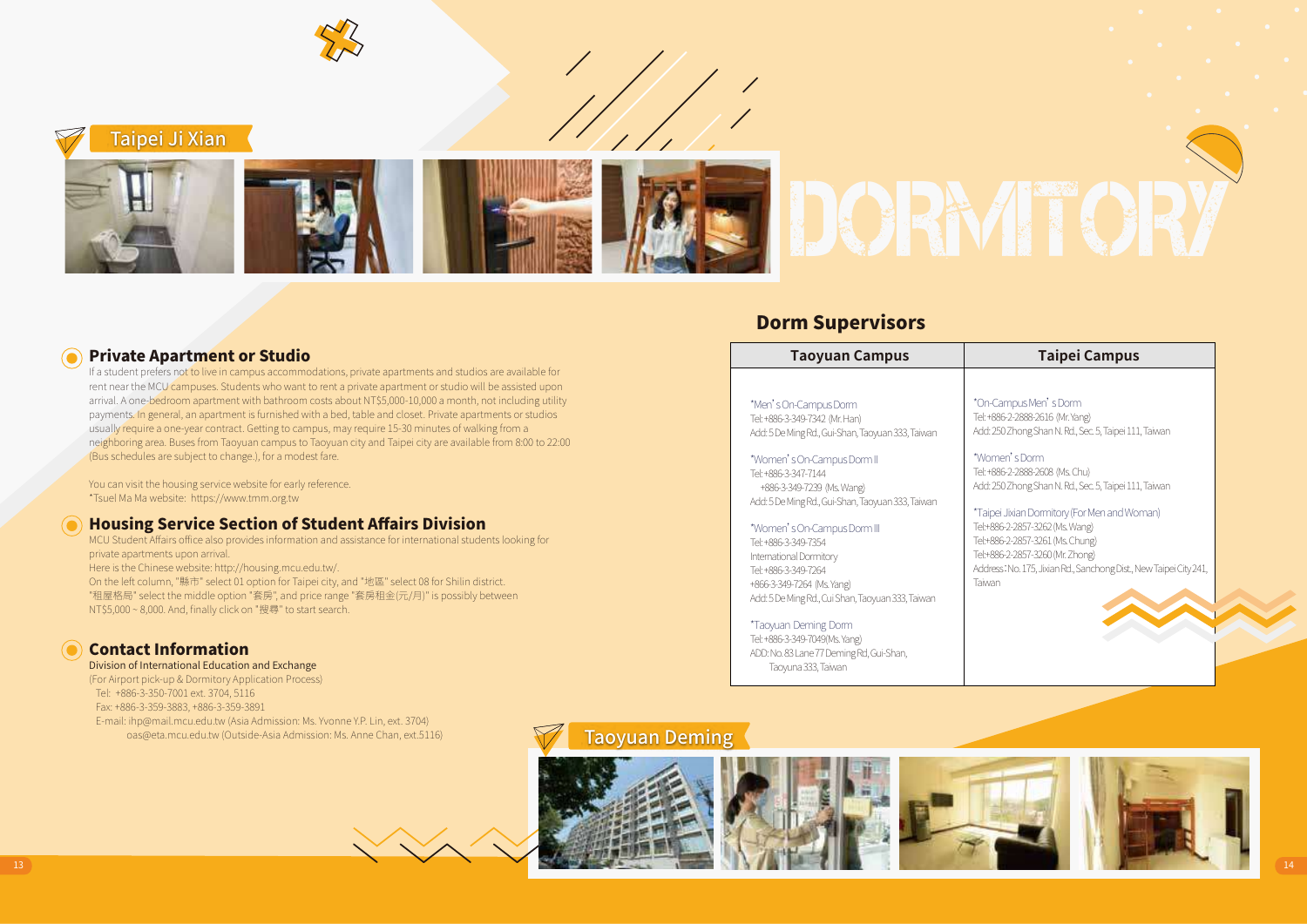Taipei Ji Xian

### Private Apartment or Studio

If a student prefers not to live in campus accommodations, private apartments and studios are available for rent near the MCU campuses. Students who want to rent a private apartment or studio will be assisted upon arrival. A one-bedroom apartment with bathroom costs about NT\$5,000-10,000 a month, not including utility payments. In general, an apartment is furnished with a bed, table and closet. Private apartments or studios usually require a one-year contract. Getting to campus, may require 15-30 minutes of walking from a neighboring area. Buses from Taoyuan campus to Taoyuan city and Taipei city are available from 8:00 to 22:00 (Bus schedules are subject to change.), for a modest fare.

You can visit the housing service website for early reference. \*Tsuel Ma Ma website: https://www.tmm.org.tw

### Housing Service Section of Student Affairs Division

MCU Student Affairs office also provides information and assistance for international students looking for private apartments upon arrival. Here is the Chinese website: http://housing.mcu.edu.tw/. On the left column, "縣市" select 01 option for Taipei city, and "地區" select 08 for Shilin district. "租屋格局" select the middle option "套房", and price range "套房租金(元/月)" is possibly between NT\$5,000 ~ 8,000. And, finally click on "搜尋" to start search.

### Contact Information

### Division of International Education and Exchange

(For Airport pick-up & Dormitory Application Process) Tel: +886-3-350-7001 ext. 3704, 5116 Fax: +886-3-359-3883, +886-3-359-3891 E-mail: ihp@mail.mcu.edu.tw (Asia Admission: Ms. Yvonne Y.P. Lin, ext. 3704) oas@eta.mcu.edu.tw (Outside-Asia Admission: Ms. Anne Chan, ext.5116)

### Dorm Supervisors

### **Taoyuan Campus Taipei Campus**

\*Men's On-Campus Dorm Tel: +886-3-349-7342 (Mr. Han) Add: 5 De Ming Rd., Gui-Shan, Taoyuan 333, Taiwan

\*Women's On-Campus Dorm II Tel: +886-3-347-7144 +886-3-349-7239 (Ms. Wang) Add: 5 De Ming Rd., Gui-Shan, Taoyuan 333, Taiwan

### \*Women's On-Campus Dorm III

Tel: +886-3-349-7354 International Dormitory Tel: +886-3-349-7264 +866-3-349-7264 (Ms. Yang) Add: 5 De Ming Rd., Cui Shan, Taoyuan 333, Taiwan

\*Taoyuan Deming Dorm Tel: +886-3-349-7049(Ms. Yang) ADD: No. 83 Lane 77 Deming Rd, Gui-Shan, Taoyuna 333, Taiwan

\*On-Campus Men's Dorm Tel: +886-2-2888-2616 (Mr. Yang) Add: 250 Zhong Shan N. Rd., Sec. 5, Taipei 111, Taiwan

\*Women's Dorm Tel: +886-2-2888-2608 (Ms. Chu) Add: 250 Zhong Shan N. Rd., Sec. 5, Taipei 111, Taiwan

\*Taipei Jixian Dormitory (For Men and Woman) Tel:+886-2-2857-3262 (Ms. Wang) Tel:+886-2-2857-3261 (Ms. Chung) Tel:+886-2-2857-3260 (Mr. Zhong) Address:No. 175, Jixian Rd., Sanchong Dist., New Taipei City 241, Taiwan

### Taoyuan Deming

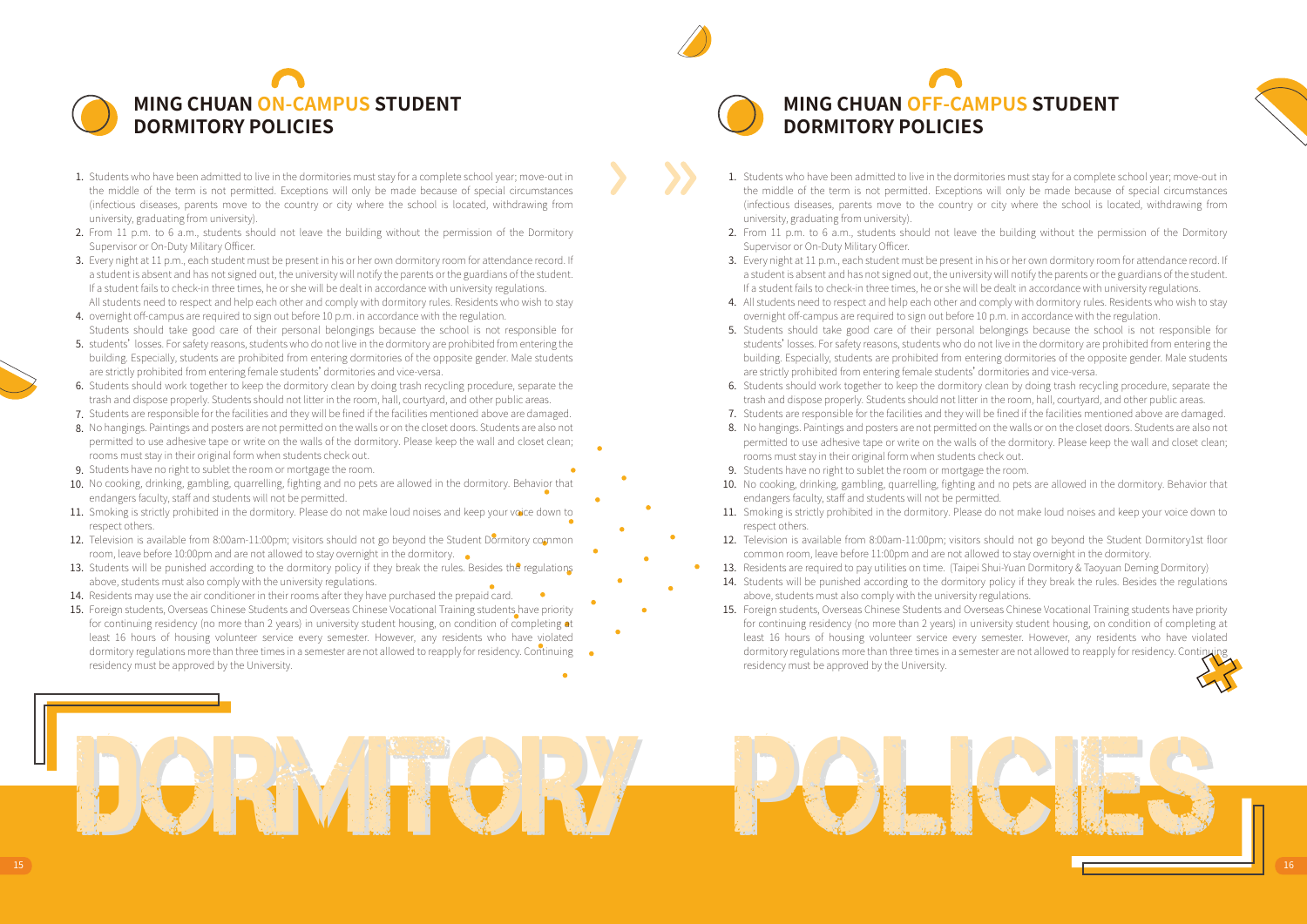

- 1. Students who have been admitted to live in the dormitories must stay for a complete school year; move-out in the middle of the term is not permitted. Exceptions will only be made because of special circumstances (infectious diseases, parents move to the country or city where the school is located, withdrawing from university, graduating from university).
- 2. From 11 p.m. to 6 a.m., students should not leave the building without the permission of the Dormitory Supervisor or On-Duty Military Officer.
- 3. Every night at 11 p.m., each student must be present in his or her own dormitory room for attendance record. If a student is absent and has not signed out, the university will notify the parents or the guardians of the student. If a student fails to check-in three times, he or she will be dealt in accordance with university regulations. All students need to respect and help each other and comply with dormitory rules. Residents who wish to stay
- 4. overnight off-campus are required to sign out before 10 p.m. in accordance with the regulation. Students should take good care of their personal belongings because the school is not responsible for
- 5. students' losses. For safety reasons, students who do not live in the dormitory are prohibited from entering the building. Especially, students are prohibited from entering dormitories of the opposite gender. Male students are strictly prohibited from entering female students'dormitories and vice-versa.
- 6. Students should work together to keep the dormitory clean by doing trash recycling procedure, separate the trash and dispose properly. Students should not litter in the room, hall, courtyard, and other public areas.
- 7. Students are responsible for the facilities and they will be fined if the facilities mentioned above are damaged.
- 8. No hangings. Paintings and posters are not permitted on the walls or on the closet doors. Students are also not permitted to use adhesive tape or write on the walls of the dormitory. Please keep the wall and closet clean; rooms must stay in their original form when students check out.
- 9. Students have no right to sublet the room or mortgage the room.
- 10. No cooking, drinking, gambling, quarrelling, fighting and no pets are allowed in the dormitory. Behavior that endangers faculty, staff and students will not be permitted.
- 11. Smoking is strictly prohibited in the dormitory. Please do not make loud noises and keep your voice down to respect others.
- 12. Television is available from 8:00am-11:00pm; visitors should not go beyond the Student Dormitory common room, leave before 10:00pm and are not allowed to stay overnight in the dormitory.
- 13. Students will be punished according to the dormitory policy if they break the rules. Besides the regulations above, students must also comply with the university regulations.
- 14. Residents may use the air conditioner in their rooms after they have purchased the prepaid card.
- 15. Foreign students, Overseas Chinese Students and Overseas Chinese Vocational Training students have priority for continuing residency (no more than 2 years) in university student housing, on condition of completing at least 16 hours of housing volunteer service every semester. However, any residents who have violated dormitory regulations more than three times in a semester are not allowed to reapply for residency. Continuing residency must be approved by the University.

DIN MITOUT



# **MING CHUAN OFF-CAMPUS STUDENT DORMITORY POLICIES**



- 1. Students who have been admitted to live in the dormitories must stay for a complete school year; move-out in the middle of the term is not permitted. Exceptions will only be made because of special circumstances (infectious diseases, parents move to the country or city where the school is located, withdrawing from university, graduating from university).
- 2. From 11 p.m. to 6 a.m., students should not leave the building without the permission of the Dormitory Supervisor or On-Duty Military Officer.
- 3. Every night at 11 p.m., each student must be present in his or her own dormitory room for attendance record. If a student is absent and has not signed out, the university will notify the parents or the guardians of the student. If a student fails to check-in three times, he or she will be dealt in accordance with university regulations.
- 4. All students need to respect and help each other and comply with dormitory rules. Residents who wish to stay overnight off-campus are required to sign out before 10 p.m. in accordance with the regulation.
- 5. Students should take good care of their personal belongings because the school is not responsible for students'losses. For safety reasons, students who do not live in the dormitory are prohibited from entering the building. Especially, students are prohibited from entering dormitories of the opposite gender. Male students are strictly prohibited from entering female students'dormitories and vice-versa.
- 6. Students should work together to keep the dormitory clean by doing trash recycling procedure, separate the trash and dispose properly. Students should not litter in the room, hall, courtyard, and other public areas.
- 7. Students are responsible for the facilities and they will be fined if the facilities mentioned above are damaged.
- 8. No hangings. Paintings and posters are not permitted on the walls or on the closet doors. Students are also not permitted to use adhesive tape or write on the walls of the dormitory. Please keep the wall and closet clean; rooms must stay in their original form when students check out.
- 9. Students have no right to sublet the room or mortgage the room.
- 10. No cooking, drinking, gambling, quarrelling, fighting and no pets are allowed in the dormitory. Behavior that endangers faculty, staff and students will not be permitted.
- 11. Smoking is strictly prohibited in the dormitory. Please do not make loud noises and keep your voice down to respect others.
- 12. Television is available from 8:00am-11:00pm; visitors should not go beyond the Student Dormitory1st floor common room, leave before 11:00pm and are not allowed to stay overnight in the dormitory.
- 13. Residents are required to pay utilities on time. (Taipei Shui-Yuan Dormitory & Taoyuan Deming Dormitory)

POLICIES I

- 14. Students will be punished according to the dormitory policy if they break the rules. Besides the regulations above, students must also comply with the university regulations.
- 15. Foreign students, Overseas Chinese Students and Overseas Chinese Vocational Training students have priority for continuing residency (no more than 2 years) in university student housing, on condition of completing at least 16 hours of housing volunteer service every semester. However, any residents who have violated dormitory regulations more than three times in a semester are not allowed to reapply for residency. Continuing residency must be approved by the University.

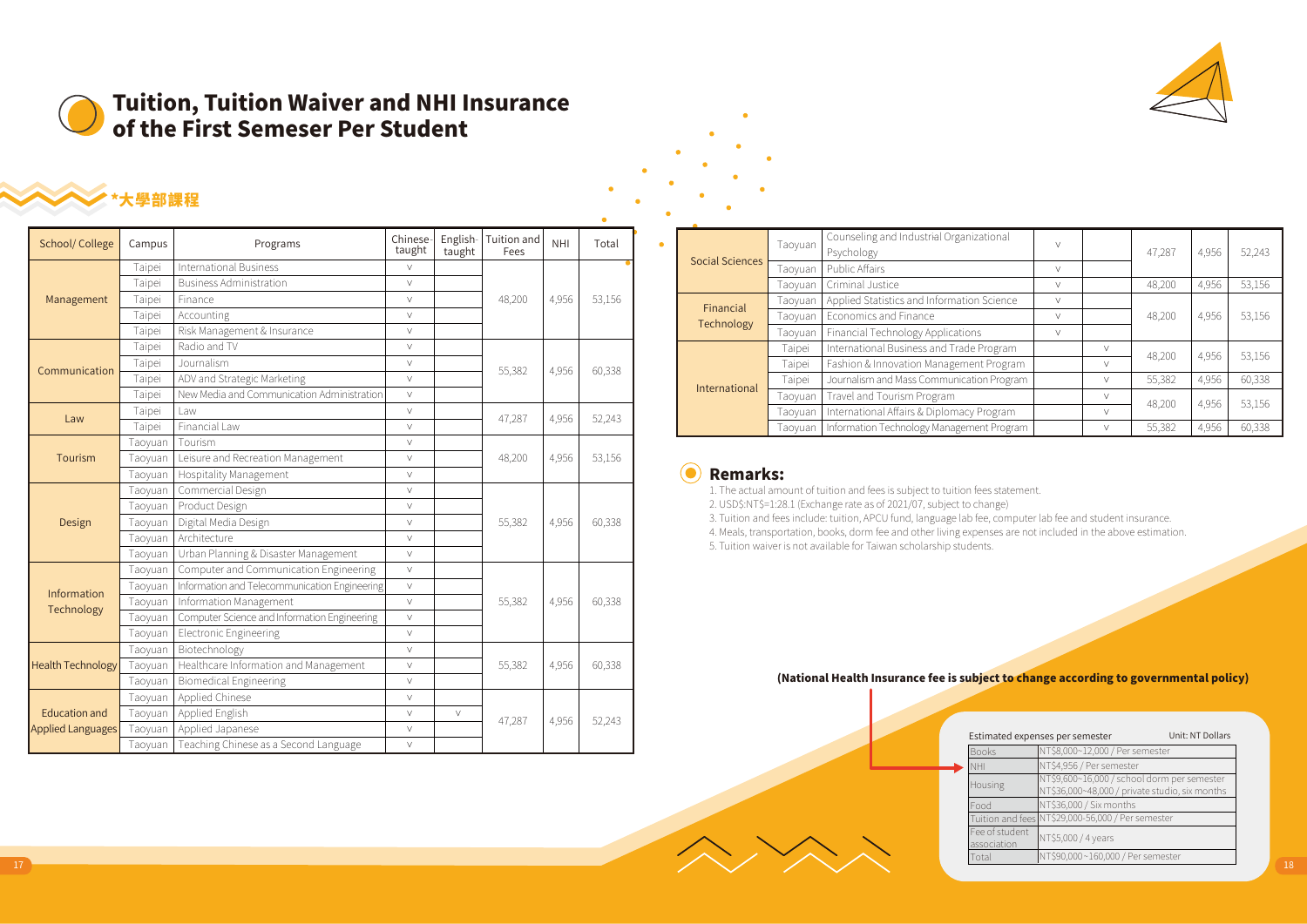

# Tuition, Tuition Waiver and NHI Insurance of the First Semeser Per Student

# \*大學部課程

| School/College           | Campus  | Programs                                      | Chinese-<br>taught | English-<br>taught | Tuition and<br>Fees | <b>NHI</b> | Total  |  |
|--------------------------|---------|-----------------------------------------------|--------------------|--------------------|---------------------|------------|--------|--|
|                          | Taipei  | <b>International Business</b>                 | V                  |                    |                     |            |        |  |
|                          | Taipei  | <b>Business Administration</b>                | V                  |                    |                     |            |        |  |
| Management               | Taipei  | Finance                                       | V                  |                    | 48,200              | 4,956      | 53,156 |  |
|                          | Taipei  | Accounting                                    | V                  |                    |                     |            |        |  |
|                          | Taipei  | Risk Management & Insurance                   | V                  |                    |                     |            |        |  |
|                          | Taipei  | Radio and TV                                  | $\vee$             |                    |                     |            |        |  |
| Communication            | Taipei  | Journalism                                    | V                  |                    |                     |            | 60,338 |  |
|                          | Taipei  | ADV and Strategic Marketing                   | V                  |                    | 55,382<br>4,956     |            |        |  |
|                          | Taipei  | New Media and Communication Administration    | $\vee$             |                    |                     |            |        |  |
| Law                      | Taipei  | Law                                           | $\vee$             |                    | 47,287              | 4,956      | 52,243 |  |
|                          | Taipei  | Financial Law                                 | $\vee$             |                    |                     |            |        |  |
|                          | Taoyuan | Tourism                                       | V                  |                    |                     |            |        |  |
| Tourism                  | Taoyuan | Leisure and Recreation Management             | V                  |                    | 48,200              | 4,956      | 53,156 |  |
|                          | Taoyuan | <b>Hospitality Management</b>                 | V                  |                    |                     |            |        |  |
|                          | Taoyuan | Commercial Design                             | $\vee$             |                    |                     |            |        |  |
|                          | Taoyuan | Product Design                                | $\vee$             |                    |                     |            |        |  |
| Design                   | Taoyuan | Digital Media Design                          | V                  |                    | 55,382              | 4,956      | 60,338 |  |
|                          | Taoyuan | Architecture                                  | V                  |                    |                     |            |        |  |
|                          | Taoyuan | Urban Planning & Disaster Management          | V                  |                    |                     |            |        |  |
|                          | Taoyuan | Computer and Communication Engineering        | V                  |                    |                     |            |        |  |
| Information              | Taoyuan | Information and Telecommunication Engineering | V                  |                    |                     |            |        |  |
| Technology               | Taoyuan | Information Management                        | $\vee$             |                    | 55,382              | 4,956      | 60,338 |  |
|                          | Taoyuan | Computer Science and Information Engineering  | V                  |                    |                     |            |        |  |
|                          | Taoyuan | Electronic Engineering                        | V                  |                    |                     |            |        |  |
|                          | Taoyuan | Biotechnology                                 | $\vee$             |                    |                     |            |        |  |
| <b>Health Technology</b> | Taoyuan | Healthcare Information and Management         | $\vee$             |                    | 55,382              | 4,956      | 60,338 |  |
|                          | Taoyuan | <b>Biomedical Engineering</b>                 | V                  |                    |                     |            |        |  |
|                          | Taoyuan | Applied Chinese                               | V                  |                    |                     |            |        |  |
| <b>Education and</b>     | Taoyuan | Applied English                               | V                  | V                  | 47,287              | 4,956      | 52,243 |  |
| <b>Applied Languages</b> | Taoyuan | Applied Japanese                              | V                  |                    |                     |            |        |  |
|                          | Taoyuan | Teaching Chinese as a Second Language         | $\vee$             |                    |                     |            |        |  |

| <b>Social Sciences</b> | Taoyuan | Counseling and Industrial Organizational<br>Psychology | $\vee$ |        | 47.287 | 4,956 | 52,243 |  |
|------------------------|---------|--------------------------------------------------------|--------|--------|--------|-------|--------|--|
|                        | Taoyuan | Public Affairs                                         | $\vee$ |        |        |       |        |  |
|                        | Taoyuan | Criminal Justice                                       | $\vee$ |        | 48.200 | 4,956 | 53,156 |  |
| Financial              | Taoyuan | Applied Statistics and Information Science             | $\vee$ |        |        |       |        |  |
| Technology             | Taoyuan | Economics and Finance                                  | $\vee$ |        | 48,200 | 4,956 | 53,156 |  |
|                        | Taoyuan | Financial Technology Applications                      | $\vee$ |        |        |       |        |  |
|                        | Taipei  | International Business and Trade Program               |        | $\vee$ | 48.200 | 4,956 | 53,156 |  |
|                        | Taipei  | Fashion & Innovation Management Program                |        | $\vee$ |        |       |        |  |
| International          | Taipei  | Journalism and Mass Communication Program              |        | $\vee$ | 55,382 | 4,956 | 60,338 |  |
|                        | Taoyuan | Travel and Tourism Program                             |        | $\vee$ | 48.200 | 4,956 | 53,156 |  |
|                        | Taoyuan | International Affairs & Diplomacy Program              |        | $\vee$ |        |       |        |  |
|                        | Taoyuan | Information Technology Management Program              |        | $\vee$ | 55,382 | 4,956 | 60,338 |  |

### 0 Remarks:

1. The actual amount of tuition and fees is subject to tuition fees statement.

2. USD\$:NT\$=1:28.1 (Exchange rate as of 2021/07, subject to change)

3. Tuition and fees include: tuition, APCU fund, language lab fee, computer lab fee and student insurance.

4. Meals, transportation, books, dorm fee and other living expenses are not included in the above estimation.

5. Tuition waiver is not available for Taiwan scholarship students.

### (National Health Insurance fee is subject to change according to governmental policy)

| _______________          |                                               |              | 47,287 | 4,956 | 52,243 |                                                                                                          |
|--------------------------|-----------------------------------------------|--------------|--------|-------|--------|----------------------------------------------------------------------------------------------------------|
| <b>Applied Languages</b> | Taoyuan   Applied Japanese                    |              |        |       |        | Unit: NT Dollars<br>Estimated expenses per semester                                                      |
|                          | Taoyuan Teaching Chinese as a Second Language | $\mathbf{A}$ |        |       |        | NT\$8,000~12,000 / Per semester<br>Book:                                                                 |
|                          |                                               |              |        |       |        | NT\$4,956 / Per semester                                                                                 |
|                          |                                               |              |        |       |        | NT\$9,600~16,000 / school dorm per semester<br>Housing<br>NT\$36,000~48,000 / private studio, six months |
|                          |                                               |              |        |       |        | NT\$36,000 / Six months<br>Food                                                                          |
|                          |                                               |              |        |       |        | Tuition and fees NT\$29,000-56,000 / Per semester                                                        |
|                          |                                               |              |        |       |        | Fee of student<br>NT\$5,000 / 4 years<br>association                                                     |
|                          |                                               |              |        |       |        | NT\$90,000~160,000 / Per semester<br>Total                                                               |
|                          |                                               |              |        |       |        |                                                                                                          |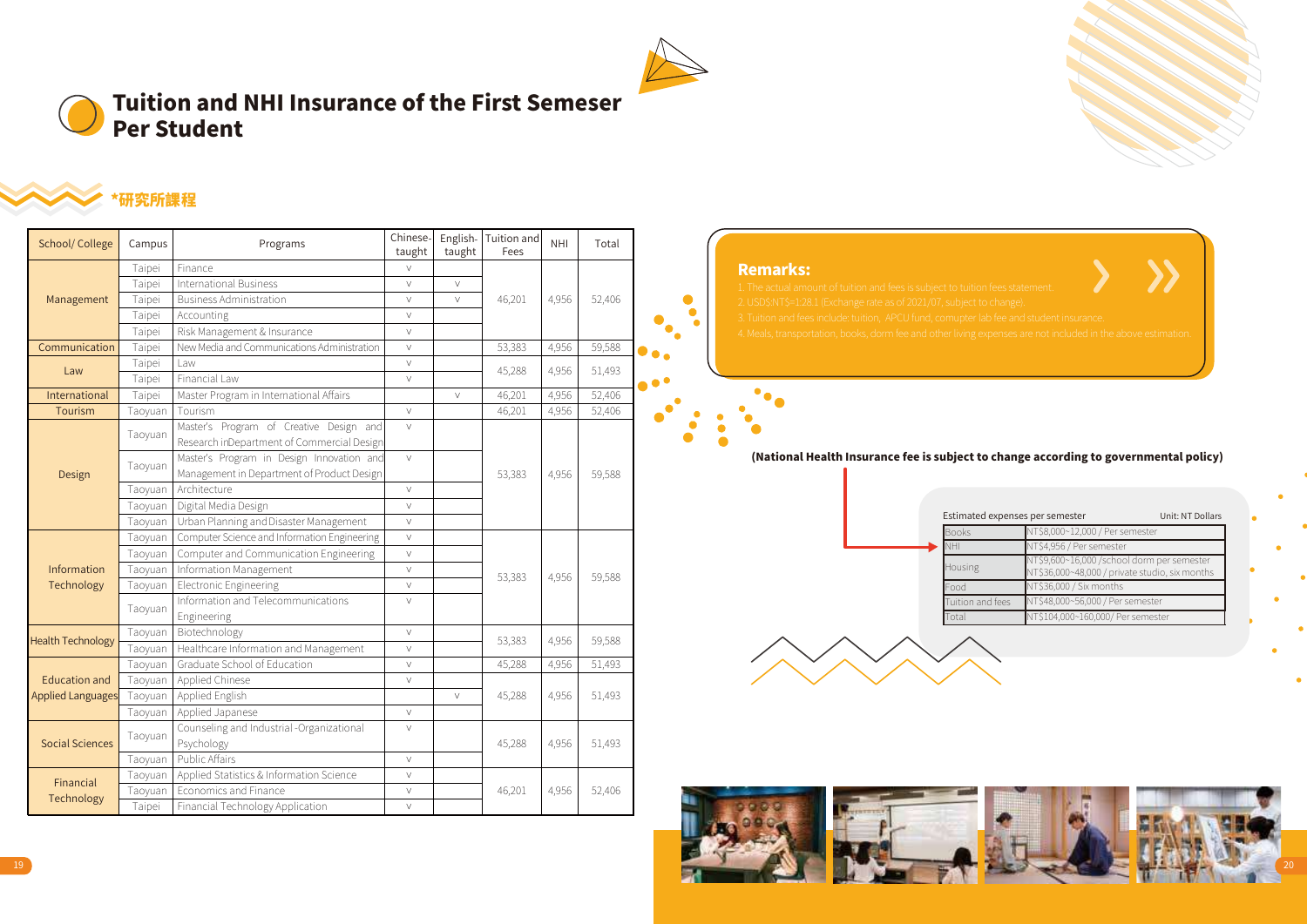

# Tuition and NHI Insurance of the First Semeser Per Student



# \*研究所課程

| School/College           | Campus  | Programs                                        | Chinese-<br>taught        | taught | English-Tuition and<br>Fees | <b>NHI</b> | Total  |                                                                                                                                    |
|--------------------------|---------|-------------------------------------------------|---------------------------|--------|-----------------------------|------------|--------|------------------------------------------------------------------------------------------------------------------------------------|
|                          | Taipei  | Finance                                         | $\vee$                    |        |                             |            |        | <b>Remarks:</b>                                                                                                                    |
|                          | Taipei  | <b>International Business</b>                   | $\vee$                    | $\vee$ |                             |            |        | 1. The actual amount of tuition and fees is subject to tuition fees statement.                                                     |
| Management               | Taipei  | <b>Business Administration</b>                  | $\vee$                    | $\vee$ | 46,201                      | 4,956      | 52,406 | $\bullet$<br>2. USD\$:NT\$=1:28.1 (Exchange rate as of 2021/07, subject to change).                                                |
|                          | Taipei  | Accounting                                      | $\vee$                    |        |                             |            |        | 3. Tuition and fees include: tuition, APCU fund, comupter lab fee and student insurance.                                           |
|                          | Taipei  | Risk Management & Insurance                     | $\vee$                    |        |                             |            |        | $\bullet_\bullet$<br>4. Meals, transportation, books, dorm fee and other living expenses are not included in the above estimation. |
| Communication            | Taipei  | New Media and Communications Administration     | $\bullet \bullet \bullet$ |        |                             |            |        |                                                                                                                                    |
|                          | Taipei  | l aw                                            |                           |        |                             |            |        |                                                                                                                                    |
| Law                      | Taipei  | Financial Law                                   | $\vee$                    |        | 45,288                      | 4,956      | 51,493 | $\bullet$ $\bullet$                                                                                                                |
| International            | Taipei  | Master Program in International Affairs         |                           | $\vee$ | 46,201                      | 4,956      | 52,406 | $\bullet$                                                                                                                          |
| Tourism                  | Taoyuan | Tourism                                         | $\vee$                    |        | 46,201                      | 4,956      | 52,406 |                                                                                                                                    |
|                          |         | Master's Program of Creative Design and         | $\vee$                    |        |                             |            |        |                                                                                                                                    |
|                          | Taovuan | Research inDepartment of Commercial Design      |                           |        |                             |            |        |                                                                                                                                    |
|                          |         | Master's Program in Design Innovation and       | $\vee$                    |        |                             |            |        | (National Health Insurance fee is subject to change according to governmental policy)                                              |
| Design                   | Taoyuan | Management in Department of Product Design      |                           |        | 53,383                      | 4.956      | 59,588 |                                                                                                                                    |
|                          | Taoyuan | Architecture                                    | $\vee$                    |        |                             |            |        |                                                                                                                                    |
|                          | Taoyuan | Digital Media Design                            | $\vee$                    |        |                             |            |        |                                                                                                                                    |
|                          | Taovuan | Urban Planning and Disaster Management          | $\vee$                    |        |                             |            |        | Estimated expenses per semester<br>Unit: NT Dollars                                                                                |
|                          | Taovuan | Computer Science and Information Engineering    | $\vee$                    |        |                             |            |        | NT\$8,000~12,000 / Per semester<br><b>Books</b><br>NT\$4,956 / Per semester                                                        |
|                          | Taoyuan | Computer and Communication Engineering          | $\vee$                    |        |                             |            |        | <b>HV</b><br>NT\$9,600~16,000 /school dorm per semester                                                                            |
| Information              | Taoyuan | Information Management                          | $\vee$                    |        | 53,383                      | 4,956      | 59,588 | Housing<br>NT\$36,000~48,000 / private studio, six months                                                                          |
| Technology               | Taoyuan | <b>Electronic Engineering</b>                   | $\vee$                    |        |                             |            |        | NT\$36,000 / Six months<br>Food                                                                                                    |
|                          |         | Information and Telecommunications              | $\vee$                    |        |                             |            |        | NT\$48,000~56,000 / Per semester<br>Tuition and fees                                                                               |
|                          | Taoyuan | Engineering                                     |                           |        |                             |            |        | NT\$104,000~160,000/ Per semester<br>Total                                                                                         |
| <b>Health Technology</b> | Taoyuan | Biotechnology                                   | $\vee$                    |        | 53,383                      | 4,956      | 59,588 |                                                                                                                                    |
|                          |         | Taoyuan   Healthcare Information and Management | $\vee$                    |        |                             |            |        |                                                                                                                                    |
|                          | Taoyuan | Graduate School of Education                    | $\vee$                    |        | 45,288                      | 4,956      | 51,493 |                                                                                                                                    |
| <b>Education and</b>     |         | Taoyuan   Applied Chinese                       | $\vee$                    |        |                             |            |        |                                                                                                                                    |
| <b>Applied Languages</b> |         | Taoyuan   Applied English                       |                           | $\vee$ | 45,288                      | 4,956      | 51,493 |                                                                                                                                    |
|                          |         | Taoyuan   Applied Japanese                      | $\vee$                    |        |                             |            |        |                                                                                                                                    |
|                          | Taovuan | Counseling and Industrial -Organizational       | $\vee$                    |        |                             |            |        |                                                                                                                                    |
| Social Sciences          |         | Psychology                                      |                           |        | 45,288                      | 4,956      | 51,493 |                                                                                                                                    |
|                          | Taoyuan | Public Affairs                                  | $\vee$                    |        |                             |            |        |                                                                                                                                    |
| Financial                | Taoyuan | Applied Statistics & Information Science        | $\vee$                    |        |                             |            |        |                                                                                                                                    |
|                          | Taoyuan | Economics and Finance                           | $\vee$                    |        | 46,201                      | 4.956      | 52,406 |                                                                                                                                    |
| Technology               | Taipei  | Financial Technology Application                | $\vee$                    |        |                             |            |        |                                                                                                                                    |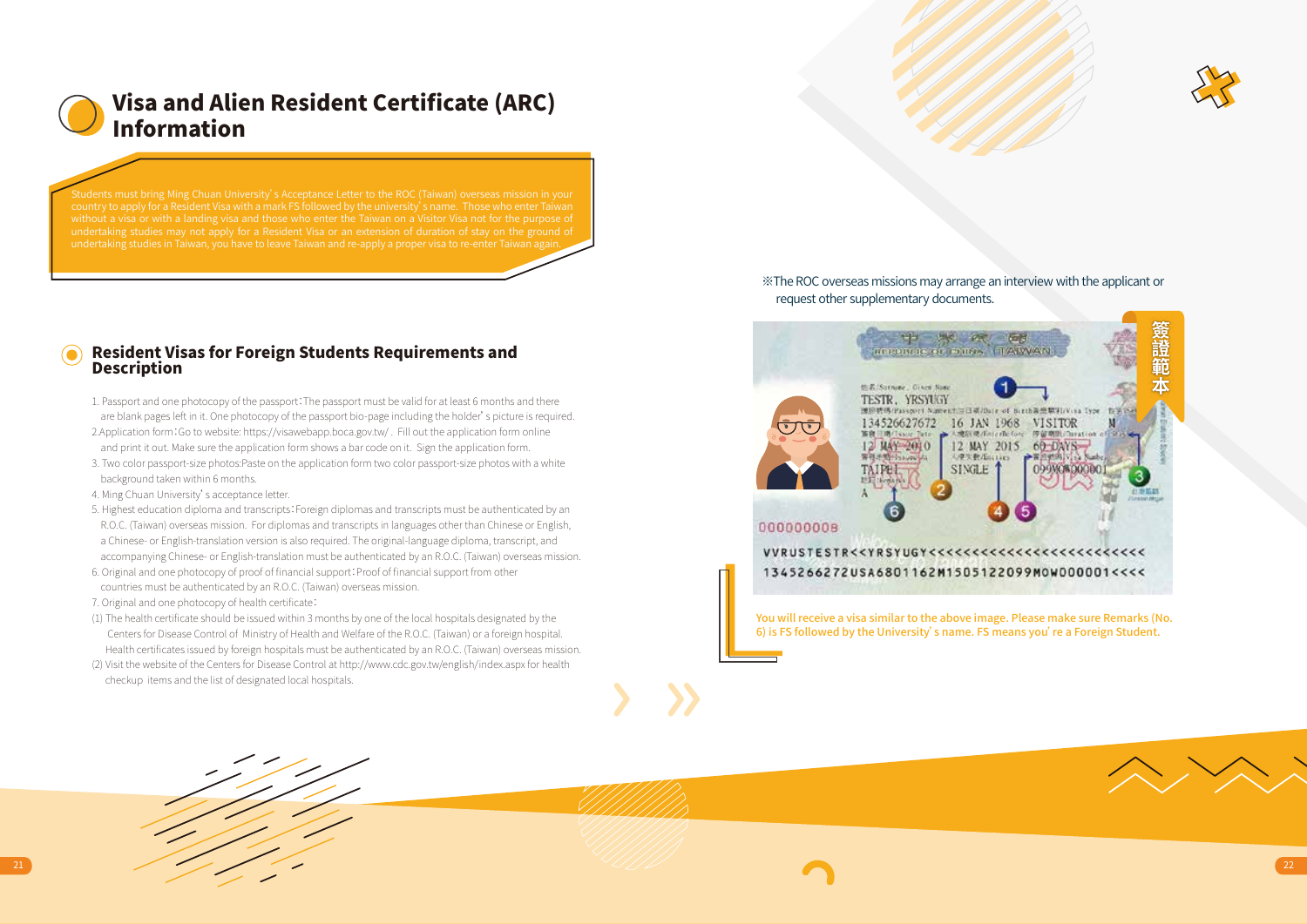

# Visa and Alien Resident Certificate (ARC) Information

### Resident Visas for Foreign Students Requirements and Description

- 1. Passport and one photocopy of the passport:The passport must be valid for at least 6 months and there are blank pages left in it. One photocopy of the passport bio-page including the holder's picture is required. 2.Application form:Go to website: https://visawebapp.boca.gov.tw/ . Fill out the application form online and print it out. Make sure the application form shows a bar code on it. Sign the application form.
- 3. Two color passport-size photos:Paste on the application form two color passport-size photos with a white background taken within 6 months.
- 4. Ming Chuan University's acceptance letter.
- 5. Highest education diploma and transcripts: Foreign diplomas and transcripts must be authenticated by an R.O.C. (Taiwan) overseas mission. For diplomas and transcripts in languages other than Chinese or English, a Chinese- or English-translation version is also required. The original-language diploma, transcript, and accompanying Chinese- or English-translation must be authenticated by an R.O.C. (Taiwan) overseas mission.
- 6. Original and one photocopy of proof of financial support:Proof of financial support from other countries must be authenticated by an R.O.C. (Taiwan) overseas mission.
- 7. Original and one photocopy of health certificate:
- (1) The health certificate should be issued within 3 months by one of the local hospitals designated by the Centers for Disease Control of Ministry of Health and Welfare of the R.O.C. (Taiwan) or a foreign hospital. Health certificates issued by foreign hospitals must be authenticated by an R.O.C. (Taiwan) overseas mission.
- (2) Visit the website of the Centers for Disease Control at http://www.cdc.gov.tw/english/index.aspx for health checkup items and the list of designated local hospitals.



※The ROC overseas missions may arrange an interview with the applicant or request other supplementary documents.



You will receive a visa similar to the above image. Please make sure Remarks (No. 6) is FS followed by the University' s name. FS means you' re a Foreign Student.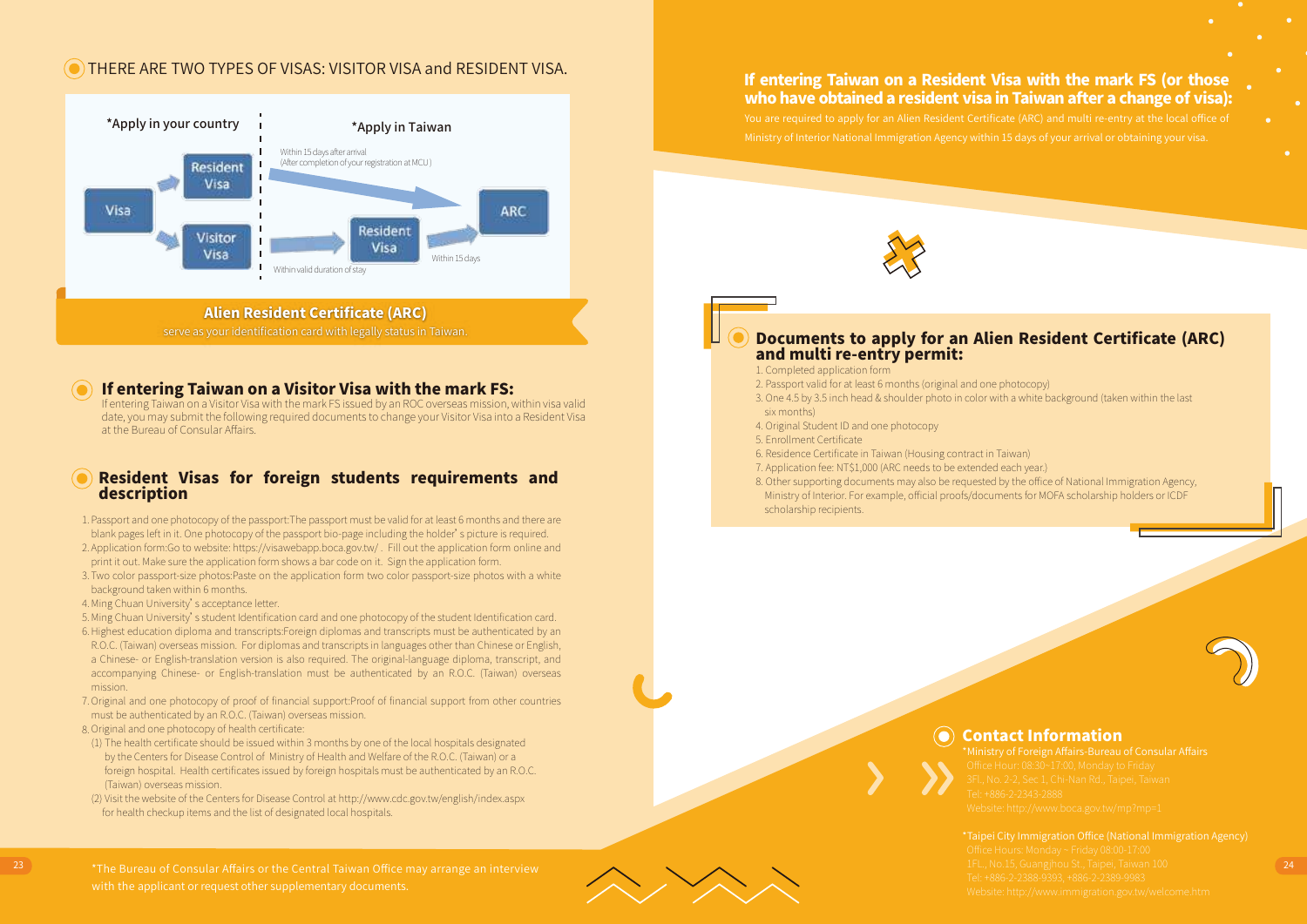### THERE ARE TWO TYPES OF VISAS: VISITOR VISA and RESIDENT VISA.



serve as your identification card with legally status in Taiwan.

### If entering Taiwan on a Visitor Visa with the mark FS:

If entering Taiwan on a Visitor Visa with the mark FS issued by an ROC overseas mission, within visa valid date, you may submit the following required documents to change your Visitor Visa into a Resident Visa at the Bureau of Consular Affairs.

### Resident Visas for foreign students requirements and description

 1. Passport and one photocopy of the passport:The passport must be valid for at least 6 months and there are blank pages left in it. One photocopy of the passport bio-page including the holder's picture is required.

- 2. Application form:Go to website: https://visawebapp.boca.gov.tw/ . Fill out the application form online and print it out. Make sure the application form shows a bar code on it. Sign the application form.
- 3. Two color passport-size photos:Paste on the application form two color passport-size photos with a white background taken within 6 months.
- 4. Ming Chuan University's acceptance letter.
- 5. Ming Chuan University's student Identification card and one photocopy of the student Identification card.
- 6. Highest education diploma and transcripts:Foreign diplomas and transcripts must be authenticated by an R.O.C. (Taiwan) overseas mission. For diplomas and transcripts in languages other than Chinese or English, a Chinese- or English-translation version is also required. The original-language diploma, transcript, and accompanying Chinese- or English-translation must be authenticated by an R.O.C. (Taiwan) overseas
- 7. Original and one photocopy of proof of financial support:Proof of financial support from other countries mission.
- must be authenticated by an R.O.C. (Taiwan) overseas mission.
- 8. Original and one photocopy of health certificate:
- (1) The health certificate should be issued within 3 months by one of the local hospitals designated by the Centers for Disease Control of Ministry of Health and Welfare of the R.O.C. (Taiwan) or a foreign hospital. Health certificates issued by foreign hospitals must be authenticated by an R.O.C. (Taiwan) overseas mission.
- (2) Visit the website of the Centers for Disease Control at http://www.cdc.gov.tw/english/index.aspx for health checkup items and the list of designated local hospitals.

If entering Taiwan on a Resident Visa with the mark FS (or those who have obtained a resident visa in Taiwan after a change of visa):



### Documents to apply for an Alien Resident Certificate (ARC) and multi re-entry permit:

- 1. Completed application form
- 2. Passport valid for at least 6 months (original and one photocopy)
- 3. One 4.5 by 3.5 inch head & shoulder photo in color with a white background (taken within the last six months)
- 4. Original Student ID and one photocopy
- 5. Enrollment Certificate
- 6. Residence Certificate in Taiwan (Housing contract in Taiwan)
- 7. Application fee: NT\$1,000 (ARC needs to be extended each year.)
- 8. Other supporting documents may also be requested by the office of National Immigration Agency, Ministry of Interior. For example, official proofs/documents for MOFA scholarship holders or ICDF scholarship recipients.



 $\bullet$ Contact Information

23 23 23 1 1 1 1 2 24 25 26 27 28 27 28 27 28 27 28 27 28 27 28 27 28 27 28 27 28 27 28 27 28 27 28 27 28 27 28 27 28 27 28 27 28 27 28 27 28 27 28 27 28 27 28 27 28 27 28 27 28 27 28 27 28 27 28 27 28 27 28 27 28 27 28 27 with the applicant or request other supplementary documents.

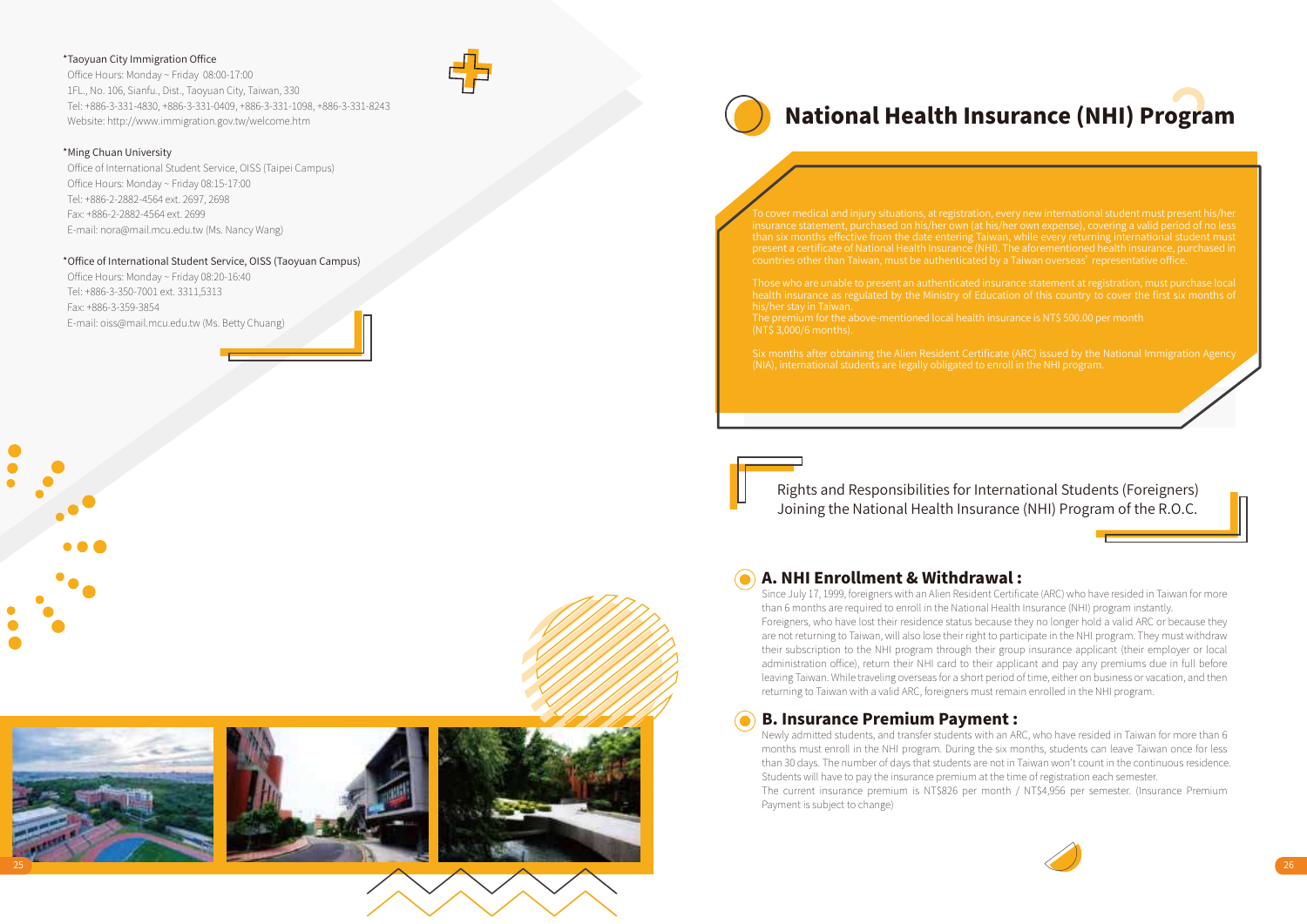### \*Taoyuan City Immigration Office

 Office Hours: Monday ~ Friday 08:00-17:00 1FL., No. 106, Sianfu., Dist., Taoyuan City, Taiwan, 330 Tel: +886-3-331-4830, +886-3-331-0409, +886-3-331-1098, +886-3-331-8243 Website: http://www.immigration.gov.tw/welcome.htm

### \*Ming Chuan University

 Office of International Student Service, OISS (Taipei Campus) Office Hours: Monday ~ Friday 08:15-17:00 Tel: +886-2-2882-4564 ext. 2697, 2698 Fax: +886-2-2882-4564 ext. 2699 E-mail: nora@mail.mcu.edu.tw (Ms. Nancy Wang)

### \*Office of International Student Service, OISS (Taoyuan Campus)

 Office Hours: Monday ~ Friday 08:20-16:40 Tel: +886-3-350-7001 ext. 3311,5313 Fax: +886-3-359-3854 E-mail: oiss@mail.mcu.edu.tw (Ms. Betty Chuang)

# National Health Insurance (NHI) Program

Those who are unable to present an authenticated insurance statement at registration, must purchase local lead<br>health insurance as regulated by the Ministry of Education of this country to cover the first six months of

Rights and Responsibilities for International Students (Foreigners) Joining the National Health Insurance (NHI) Program of the R.O.C.

### A. NHI Enrollment & Withdrawal :

Since July 17, 1999, foreigners with an Alien Resident Certificate (ARC) who have resided in Taiwan for more than 6 months are required to enroll in the National Health Insurance (NHI) program instantly. Foreigners, who have lost their residence status because they no longer hold a valid ARC or because they are not returning to Taiwan, will also lose their right to participate in the NHI program. They must withdraw their subscription to the NHI program through their group insurance applicant (their employer or local administration office), return their NHI card to their applicant and pay any premiums due in full before leaving Taiwan. While traveling overseas for a short period of time, either on business or vacation, and then returning to Taiwan with a valid ARC, foreigners must remain enrolled in the NHI program.

### B. Insurance Premium Payment :

Newly admitted students, and transfer students with an ARC, who have resided in Taiwan for more than 6 months must enroll in the NHI program. During the six months, students can leave Taiwan once for less than 30 days. The number of days that students are not in Taiwan won't count in the continuous residence. Students will have to pay the insurance premium at the time of registration each semester.

The current insurance premium is NT\$826 per month / NT\$4,956 per semester. (Insurance Premium Payment is subject to change)

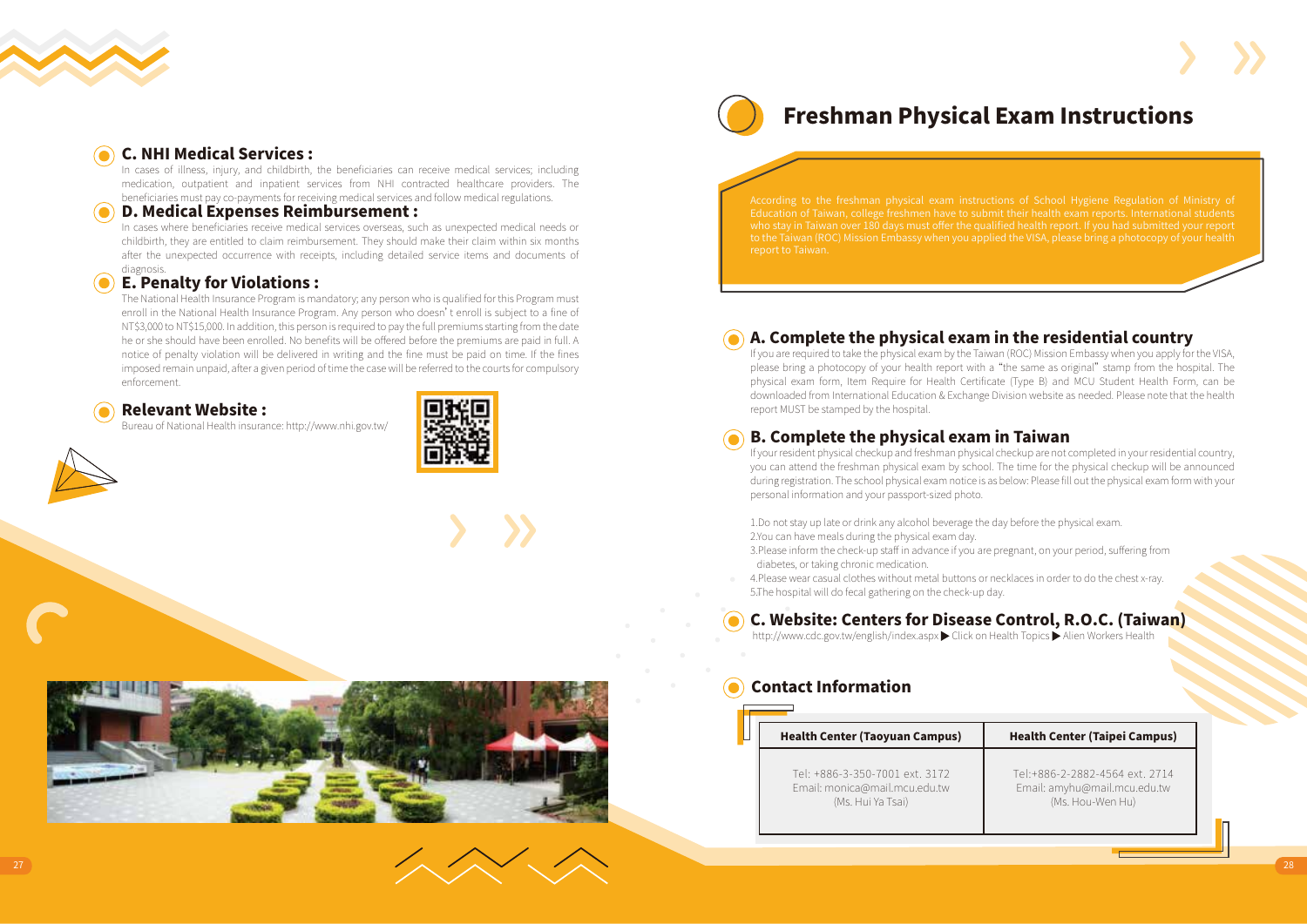

### C. NHI Medical Services :

In cases of illness, injury, and childbirth, the beneficiaries can receive medical services; including medication, outpatient and inpatient services from NHI contracted healthcare providers. The beneficiaries must pay co-payments for receiving medical services and follow medical regulations.

### D. Medical Expenses Reimbursement :

In cases where beneficiaries receive medical services overseas, such as unexpected medical needs or childbirth, they are entitled to claim reimbursement. They should make their claim within six months after the unexpected occurrence with receipts, including detailed service items and documents of diagnosis.

### E. Penalty for Violations :

The National Health Insurance Program is mandatory; any person who is qualified for this Program must enroll in the National Health Insurance Program. Any person who doesn't enroll is subject to a fine of NT\$3,000 to NT\$15,000. In addition, this person is required to pay the full premiums starting from the date he or she should have been enrolled. No benefits will be offered before the premiums are paid in full. A notice of penalty violation will be delivered in writing and the fine must be paid on time. If the fines imposed remain unpaid, after a given period of time the case will be referred to the courts for compulsory enforcement.



Bureau of National Health insurance: http://www.nhi.gov.tw/







# Freshman Physical Exam Instructions

Education of Taiwan, college freshmen have to submit their health exam reports. International students

### A. Complete the physical exam in the residential country

If you are required to take the physical exam by the Taiwan (ROC) Mission Embassy when you apply for the VISA, please bring a photocopy of your health report with a "the same as original" stamp from the hospital. The physical exam form, Item Require for Health Certificate (Type B) and MCU Student Health Form, can be downloaded from International Education & Exchange Division website as needed. Please note that the health report MUST be stamped by the hospital.

### B. Complete the physical exam in Taiwan

If your resident physical checkup and freshman physical checkup are not completed in your residential country, you can attend the freshman physical exam by school. The time for the physical checkup will be announced during registration. The school physical exam notice is as below: Please fill out the physical exam form with your personal information and your passport-sized photo.

1.Do not stay up late or drink any alcohol beverage the day before the physical exam. 2.You can have meals during the physical exam day.

3.Please inform the check-up staff in advance if you are pregnant, on your period, suffering from diabetes, or taking chronic medication.

4.Please wear casual clothes without metal buttons or necklaces in order to do the chest x-ray. 5.The hospital will do fecal gathering on the check-up day.

### C. Website: Centers for Disease Control, R.O.C. (Taiwan)

http://www.cdc.gov.tw/english/index.aspx Click on Health Topics Alien Workers Health

### Contact Information

### Health Center (Taoyuan Campus) Tel: +886-3-350-7001 ext. 3172 Email: monica@mail.mcu.edu.tw Health Center (Taipei Campus) Tel:+886-2-2882-4564 ext. 2714

(Ms. Hui Ya Tsai)

Email: amyhu@mail.mcu.edu.tw (Ms. Hou-Wen Hu)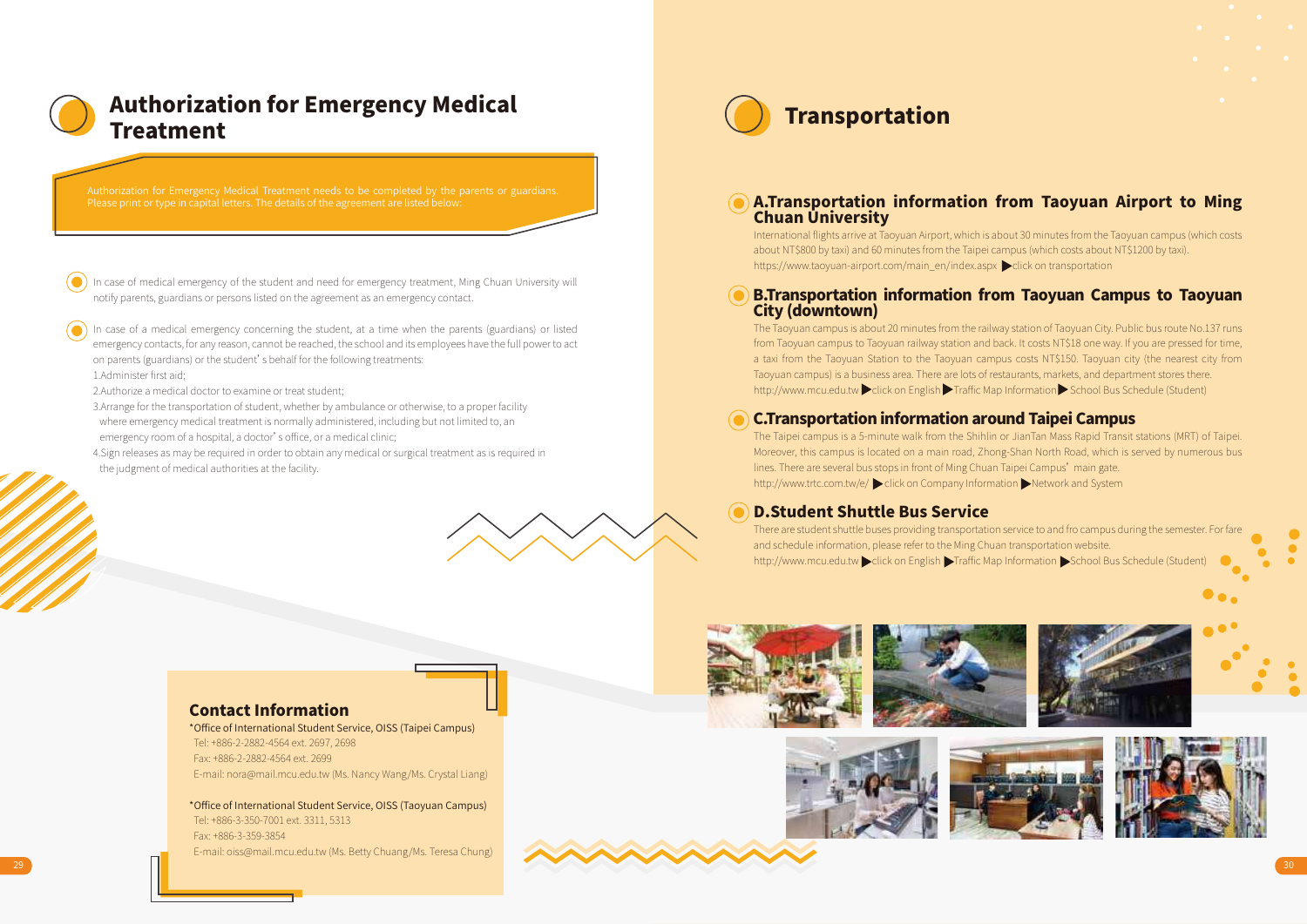

# Authorization for Emergency Medical<br>
Transportation Treatment

In case of medical emergency of the student and need for emergency treatment, Ming Chuan University will notify parents, guardians or persons listed on the agreement as an emergency contact.

In case of a medical emergency concerning the student, at a time when the parents (guardians) or listed emergency contacts, for any reason, cannot be reached, the school and its employees have the full power to act on parents (guardians) or the student's behalf for the following treatments: 1.Administer first aid;

2.Authorize a medical doctor to examine or treat student;

- 3.Arrange for the transportation of student, whether by ambulance or otherwise, to a proper facility where emergency medical treatment is normally administered, including but not limited to, an emergency room of a hospital, a doctor's office, or a medical clinic;
- 4.Sign releases as may be required in order to obtain any medical or surgical treatment as is required in the judgment of medical authorities at the facility.



### A.Transportation information from Taoyuan Airport to Ming Chuan University

International flights arrive at Taoyuan Airport, which is about 30 minutes from the Taoyuan campus (which costs about NT\$800 by taxi) and 60 minutes from the Taipei campus (which costs about NT\$1200 by taxi). https://www.taoyuan-airport.com/main\_en/index.aspx click on transportation

### B.Transportation information from Taoyuan Campus to Taoyuan City (downtown)

The Taoyuan campus is about 20 minutes from the railway station of Taoyuan City. Public bus route No.137 runs from Taoyuan campus to Taoyuan railway station and back. It costs NT\$18 one way. If you are pressed for time, a taxi from the Taoyuan Station to the Taoyuan campus costs NT\$150. Taoyuan city (the nearest city from Taoyuan campus) is a business area. There are lots of restaurants, markets, and department stores there. http://www.mcu.edu.tw click on English Traffic Map Information School Bus Schedule (Student)

### C.Transportation information around Taipei Campus

The Taipei campus is a 5-minute walk from the Shihlin or JianTan Mass Rapid Transit stations (MRT) of Taipei. Moreover, this campus is located on a main road, Zhong-Shan North Road, which is served by numerous bus lines. There are several bus stops in front of Ming Chuan Taipei Campus' main gate. http://www.trtc.com.tw/e/ click on Company Information Network and System

### D.Student Shuttle Bus Service

There are student shuttle buses providing transportation service to and fro campus during the semester. For fare and schedule information, please refer to the Ming Chuan transportation website. http://www.mcu.edu.tw click on English Traffic Map Information School Bus Schedule (Student)

### Contact Information

\*Office of International Student Service, OISS (Taipei Campus) Tel: +886-2-2882-4564 ext. 2697, 2698 Fax: +886-2-2882-4564 ext. 2699 E-mail: nora@mail.mcu.edu.tw (Ms. Nancy Wang/Ms. Crystal Liang)

\*Office of International Student Service, OISS (Taoyuan Campus) Tel: +886-3-350-7001 ext. 3311, 5313 Fax: +886-3-359-3854 E-mail: oiss@mail.mcu.edu.tw (Ms. Betty Chuang/Ms. Teresa Chung)











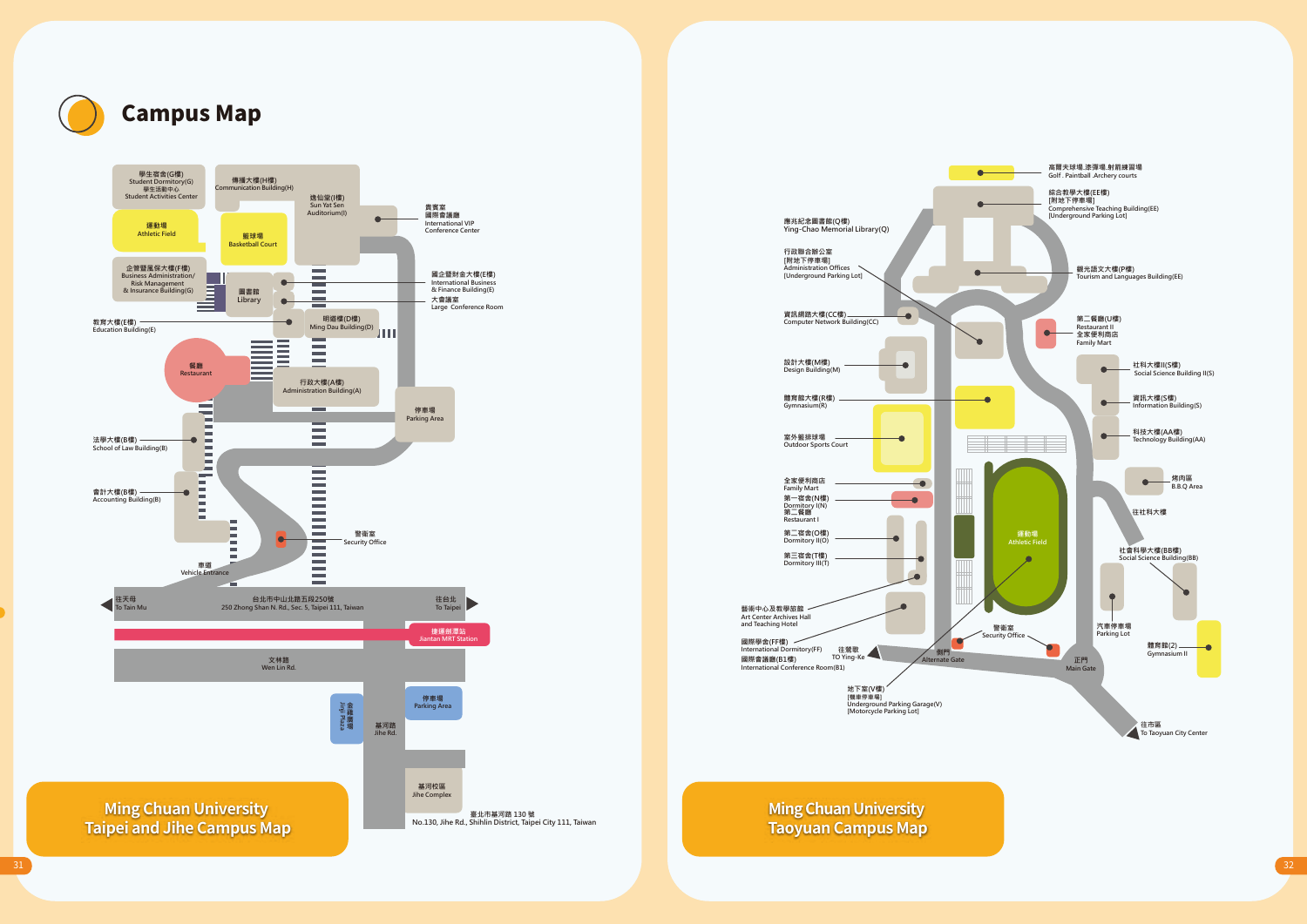

# Campus Map





**Ming Chuan University Taoyuan Campus Map**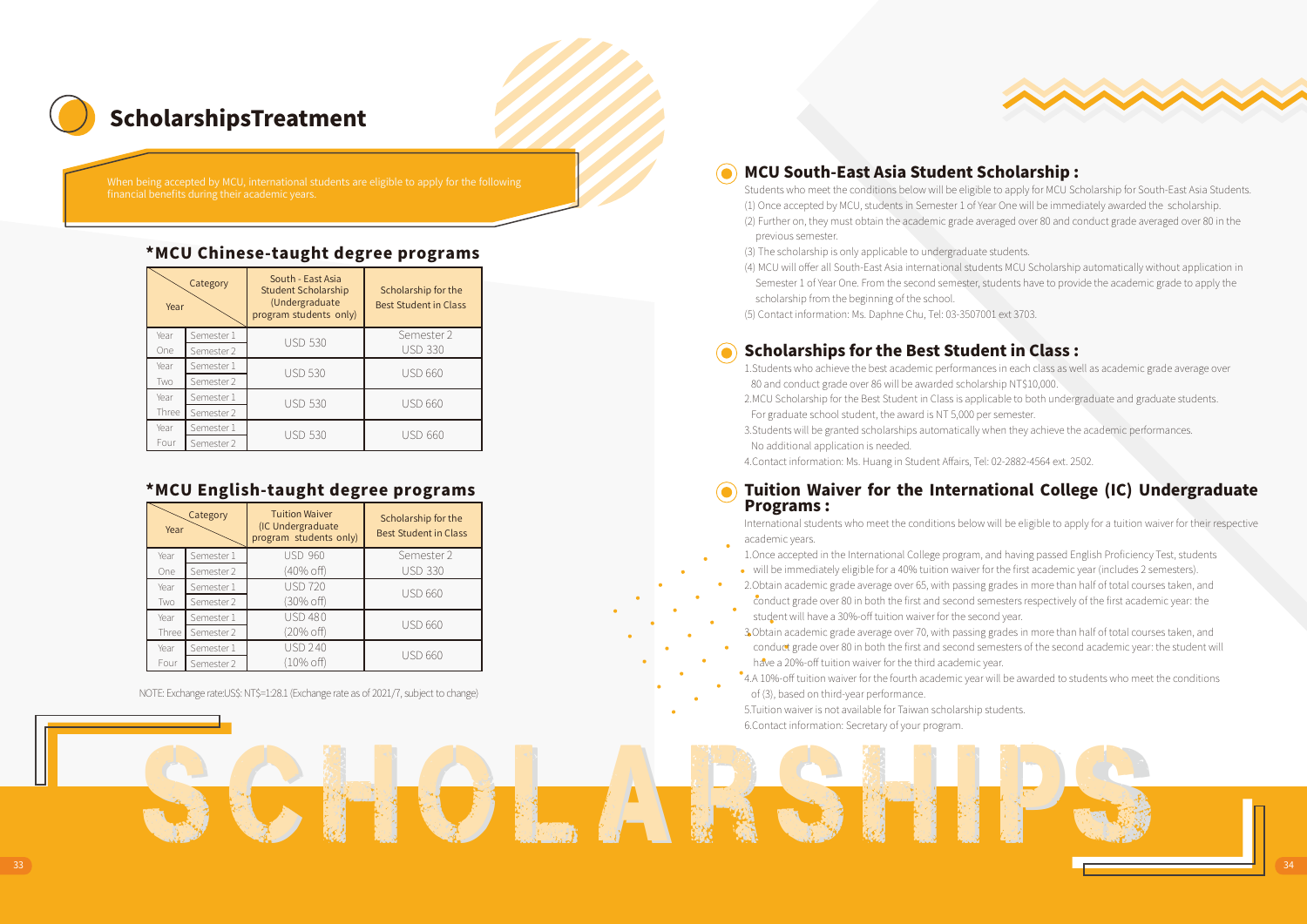

# ScholarshipsTreatment

### \*MCU Chinese-taught degree programs

| Year  | Category   | South - East Asia<br><b>Student Scholarship</b><br>(Undergraduate<br>program students only) | Scholarship for the<br><b>Best Student in Class</b> |  |  |  |  |
|-------|------------|---------------------------------------------------------------------------------------------|-----------------------------------------------------|--|--|--|--|
| Year  | Semester 1 | <b>USD 530</b>                                                                              | Semester 2                                          |  |  |  |  |
| One   | Semester 2 |                                                                                             | <b>USD 330</b>                                      |  |  |  |  |
| Year  | Semester 1 | <b>USD 530</b>                                                                              | <b>USD 660</b>                                      |  |  |  |  |
| Two   | Semester 2 |                                                                                             |                                                     |  |  |  |  |
| Year  | Semester 1 | <b>USD 530</b>                                                                              |                                                     |  |  |  |  |
| Three | Semester 2 |                                                                                             | <b>USD 660</b>                                      |  |  |  |  |
| Year  | Semester 1 | <b>USD 530</b>                                                                              |                                                     |  |  |  |  |
| Four  | Semester 2 |                                                                                             | USD 660                                             |  |  |  |  |

### \*MCU English-taught degree programs

| Year  | Category   | <b>Tuition Waiver</b><br>(IC Undergraduate<br>program students only) | Scholarship for the<br><b>Best Student in Class</b> |  |  |  |
|-------|------------|----------------------------------------------------------------------|-----------------------------------------------------|--|--|--|
| Year  | Semester 1 | <b>USD 960</b>                                                       | Semester 2                                          |  |  |  |
| One   | Semester 2 | (40% off)                                                            | <b>USD 330</b>                                      |  |  |  |
| Year  | Semester 1 | <b>USD 720</b>                                                       | <b>USD 660</b>                                      |  |  |  |
| Two   | Semester 2 | 30% off)                                                             |                                                     |  |  |  |
| Year  | Semester 1 | <b>USD 480</b>                                                       | <b>USD 660</b>                                      |  |  |  |
| Three | Semester 2 | (20% off)                                                            |                                                     |  |  |  |
| Year  | Semester 1 | <b>USD 240</b>                                                       | <b>USD 660</b>                                      |  |  |  |
| Four  | Semester 2 | (10% off)                                                            |                                                     |  |  |  |

NOTE: Exchange rate:US\$: NT\$=1:28.1 (Exchange rate as of 2021/7, subject to change)

### MCU South-East Asia Student Scholarship :

Students who meet the conditions below will be eligible to apply for MCU Scholarship for South-East Asia Students. (1) Once accepted by MCU, students in Semester 1 of Year One will be immediately awarded the scholarship. (2) Further on, they must obtain the academic grade averaged over 80 and conduct grade averaged over 80 in the previous semester.

(3) The scholarship is only applicable to undergraduate students.

(4) MCU will offer all South-East Asia international students MCU Scholarship automatically without application in Semester 1 of Year One. From the second semester, students have to provide the academic grade to apply the scholarship from the beginning of the school.

(5) Contact information: Ms. Daphne Chu, Tel: 03-3507001 ext 3703.

### Scholarships for the Best Student in Class :

1.Students who achieve the best academic performances in each class as well as academic grade average over 80 and conduct grade over 86 will be awarded scholarship NT\$10,000.

2.MCU Scholarship for the Best Student in Class is applicable to both undergraduate and graduate students. For graduate school student, the award is NT 5,000 per semester.

3.Students will be granted scholarships automatically when they achieve the academic performances. No additional application is needed.

4.Contact information: Ms. Huang in Student Affairs, Tel: 02-2882-4564 ext. 2502.

### Tuition Waiver for the International College (IC) Undergraduate Programs :

International students who meet the conditions below will be eligible to apply for a tuition waiver for their respective academic years.

1.Once accepted in the International College program, and having passed English Proficiency Test, students

will be immediately eligible for a 40% tuition waiver for the first academic year (includes 2 semesters).

2.Obtain academic grade average over 65, with passing grades in more than half of total courses taken, and conduct grade over 80 in both the first and second semesters respectively of the first academic year: the student will have a 30%-off tuition waiver for the second year.

3.Obtain academic grade average over 70, with passing grades in more than half of total courses taken, and

conduct grade over 80 in both the first and second semesters of the second academic year: the student will have a 20%-off tuition waiver for the third academic year.

4.A 10%-off tuition waiver for the fourth academic year will be awarded to students who meet the conditions of (3), based on third-year performance.

5.Tuition waiver is not available for Taiwan scholarship students. 6.Contact information: Secretary of your program.

Scholarshi Scholarshi Scholarshi Scholarships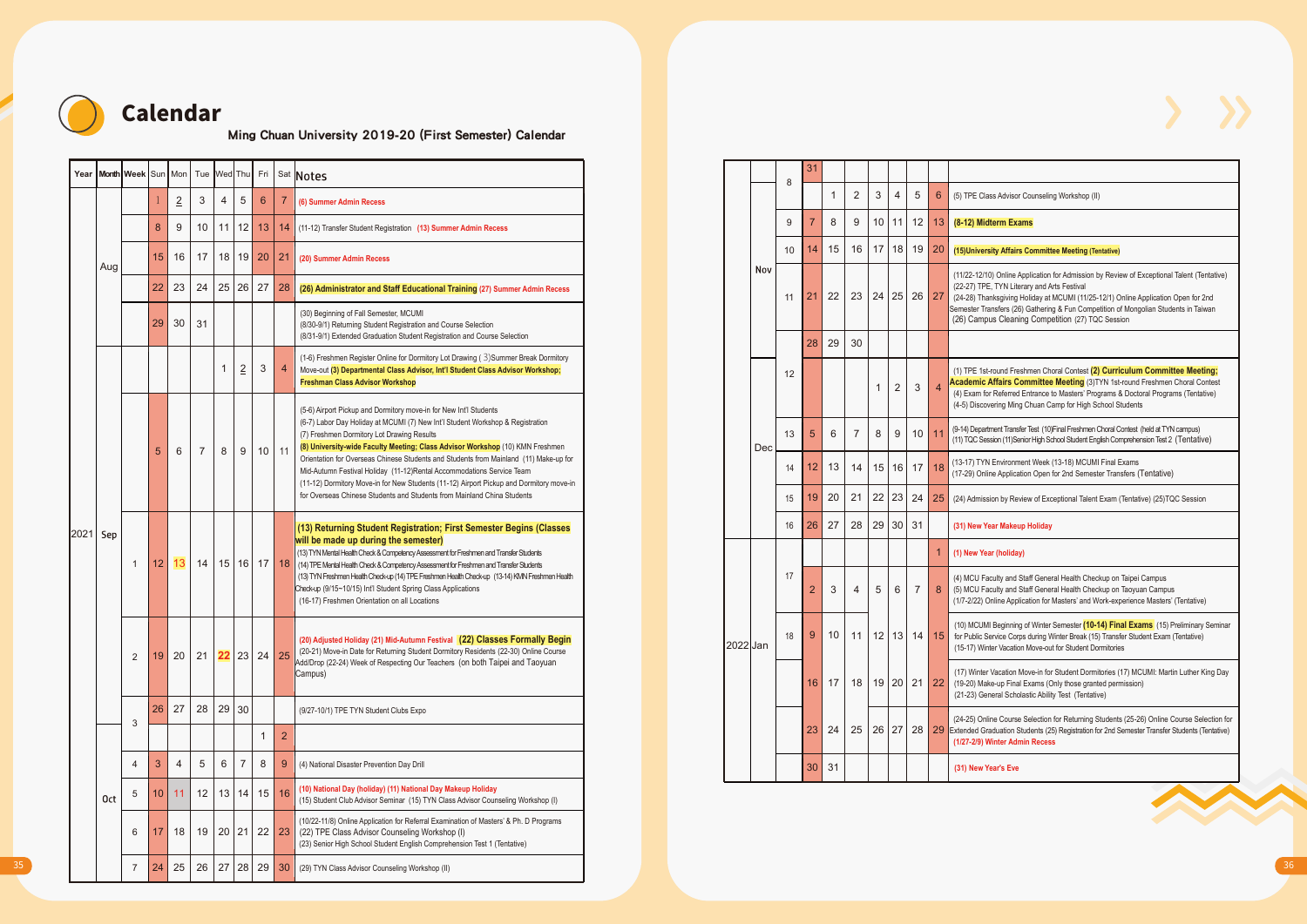

# Calendar

### Ming Chuan University 2019-20 (First Semester) Calendar

|                                         |                 |                 |                      |                 |                 |                |                |                 |                                                                                                                                                                                                                                                           | Year Month Week Sun Mon Tue Wed Thu Fri Sat Notes                                                                                                                                                                          |          | 8  |                 |                       |                                |              |                |                 |                                                                                                                                  |                                                                                                                                                                                                                                                                                                                        |
|-----------------------------------------|-----------------|-----------------|----------------------|-----------------|-----------------|----------------|----------------|-----------------|-----------------------------------------------------------------------------------------------------------------------------------------------------------------------------------------------------------------------------------------------------------|----------------------------------------------------------------------------------------------------------------------------------------------------------------------------------------------------------------------------|----------|----|-----------------|-----------------------|--------------------------------|--------------|----------------|-----------------|----------------------------------------------------------------------------------------------------------------------------------|------------------------------------------------------------------------------------------------------------------------------------------------------------------------------------------------------------------------------------------------------------------------------------------------------------------------|
|                                         |                 |                 |                      | $\overline{2}$  | $\mathbf{3}$    | $\overline{4}$ | 5 <sup>1</sup> | 6 <sup>1</sup>  | $\overline{7}$                                                                                                                                                                                                                                            | (6) Summer Admin Recess                                                                                                                                                                                                    |          |    |                 |                       | 2<br>1                         | $\mathbf{3}$ | $\overline{4}$ | 5 <sup>5</sup>  | $6\phantom{1}$                                                                                                                   | (5) TPE Class Advisor Counseling Workshop (II)                                                                                                                                                                                                                                                                         |
|                                         |                 |                 |                      | $9\,$           | 10 <sup>1</sup> |                | $11$   $12$    | 13              | 14                                                                                                                                                                                                                                                        | (11-12) Transfer Student Registration (13) Summer Admin Recess                                                                                                                                                             |          | 9  |                 |                       | 8<br>9                         |              |                |                 |                                                                                                                                  | 10 11 12 13 (8-12) Midterm Exams                                                                                                                                                                                                                                                                                       |
|                                         |                 |                 | 15 <sup>1</sup>      | 16              | 17 <sup>1</sup> |                |                |                 |                                                                                                                                                                                                                                                           | 18 19 20 21 (20) Summer Admin Recess                                                                                                                                                                                       |          |    | 10 <sup>1</sup> | 14                    | 15<br>16                       |              |                | 17 18 19 20     |                                                                                                                                  | (15) University Affairs Committee Meeting (Tentative)                                                                                                                                                                                                                                                                  |
|                                         | Aug             |                 | $22 \mid 23$         |                 | 24              |                |                |                 | 25 26 27 28                                                                                                                                                                                                                                               | (26) Administrator and Staff Educational Training (27) Summer Admin Recess<br>(30) Beginning of Fall Semester, MCUMI                                                                                                       | Nov      |    |                 |                       | 11 21 22 23 24 25 26 27        |              |                |                 |                                                                                                                                  | (11/22-12/10) Online Application for Admission by Review of Exceptional Talent (Tentative)<br>(22-27) TPE, TYN Literary and Arts Festival<br>(24-28) Thanksgiving Holiday at MCUMI (11/25-12/1) Online Application Open for 2nd<br>Semester Transfers (26) Gathering & Fun Competition of Mongolian Students in Taiwan |
|                                         |                 |                 | 29                   | 30 <sup>°</sup> | 31              |                |                |                 |                                                                                                                                                                                                                                                           | (8/30-9/1) Returning Student Registration and Course Selection<br>(8/31-9/1) Extended Graduation Student Registration and Course Selection                                                                                 |          |    |                 | 28                    | 29<br>30                       |              |                |                 |                                                                                                                                  | (26) Campus Cleaning Competition (27) TQC Session                                                                                                                                                                                                                                                                      |
|                                         |                 |                 |                      |                 |                 | $\mathbf{1}$   | $\overline{2}$ | $\mathbf{3}$    | $\overline{4}$                                                                                                                                                                                                                                            | (1-6) Freshmen Register Online for Dormitory Lot Drawing (3) Summer Break Dormitory<br>Move-out (3) Departmental Class Advisor, Int'l Student Class Advisor Workshop;<br><b>Freshman Class Advisor Workshop</b>            |          |    | 12              |                       |                                | 1            |                | $2 \mid 3 \mid$ |                                                                                                                                  | (1) TPE 1st-round Freshmen Choral Contest (2) Curriculum Committee Meeting;<br>Academic Affairs Committee Meeting (3)TYN 1st-round Freshmen Choral Contest<br>(4) Exam for Referred Entrance to Masters' Programs & Doctoral Programs (Tentative)                                                                      |
|                                         |                 |                 |                      |                 |                 |                |                |                 |                                                                                                                                                                                                                                                           | (5-6) Airport Pickup and Dormitory move-in for New Int'l Students                                                                                                                                                          |          |    |                 |                       |                                |              |                |                 |                                                                                                                                  | (4-5) Discovering Ming Chuan Camp for High School Students                                                                                                                                                                                                                                                             |
| 6<br>8<br>$\overline{7}$<br>$5^{\circ}$ |                 |                 |                      |                 |                 |                | 9 <sup>1</sup> | 10 <sup>1</sup> | 11                                                                                                                                                                                                                                                        | (6-7) Labor Day Holiday at MCUMI (7) New Int'l Student Workshop & Registration<br>(7) Freshmen Dormitory Lot Drawing Results<br>(8) University-wide Faculty Meeting; Class Advisor Workshop (10) KMN Freshmen              | Dec      |    | 13              | $5\overline{5}$       | 6                              | 8            | 9              | 10 <sup>1</sup> |                                                                                                                                  | (9-14) Department Transfer Test (10) Final Freshmen Choral Contest (held at TYN campus)<br>(11) TQC Session (11)Senior High School Student English Comprehension Test 2 (Tentative)                                                                                                                                    |
| 2021 Sep                                |                 |                 |                      |                 |                 |                |                |                 | Orientation for Overseas Chinese Students and Students from Mainland (11) Make-up for<br>Mid-Autumn Festival Holiday (11-12)Rental Accommodations Service Team<br>(11-12) Dormitory Move-in for New Students (11-12) Airport Pickup and Dormitory move-in |                                                                                                                                                                                                                            |          | 14 | 12              | 13 <sup>1</sup><br>14 |                                |              | 15 16 17       | 18              | (13-17) TYN Environment Week (13-18) MCUMI Final Exams<br>(17-29) Online Application Open for 2nd Semester Transfers (Tentative) |                                                                                                                                                                                                                                                                                                                        |
|                                         |                 |                 |                      |                 |                 |                |                |                 |                                                                                                                                                                                                                                                           | for Overseas Chinese Students and Students from Mainland China Students                                                                                                                                                    |          |    | 15              | 20<br>19              | 21                             |              |                | 22 23 24 25     |                                                                                                                                  | (24) Admission by Review of Exceptional Talent Exam (Tentative) (25) TQC Session                                                                                                                                                                                                                                       |
|                                         |                 |                 |                      |                 |                 |                |                |                 |                                                                                                                                                                                                                                                           | (13) Returning Student Registration; First Semester Begins (Classes                                                                                                                                                        |          |    | 16              | 27<br>26              |                                | 28 29 30 31  |                |                 |                                                                                                                                  | (31) New Year Makeup Holiday                                                                                                                                                                                                                                                                                           |
|                                         |                 |                 |                      | $12$ 13         | 14              |                |                |                 | 15 16 17 18                                                                                                                                                                                                                                               | will be made up during the semester)<br>(13) TYN Mental Health Check & Competency Assessment for Freshmen and Transfer Students<br>(14) TPE Mental Health Check & Competency Assessment for Freshmen and Transfer Students |          |    |                 |                       |                                |              |                |                 |                                                                                                                                  | (1) New Year (holiday)                                                                                                                                                                                                                                                                                                 |
|                                         |                 |                 |                      |                 |                 |                |                |                 |                                                                                                                                                                                                                                                           | (13) TYN Freshmen Health Check-up (14) TPE Freshmen Health Check-up (13-14) KMN Freshmen Health<br>Check-up (9/15~10/15) Int'l Student Spring Class Applications<br>(16-17) Freshmen Orientation on all Locations          |          | 17 |                 | $\mathbf{2}$          | $\mathbf{3}$<br>$\overline{4}$ | 5            | 6 <sup>1</sup> | 7 I             | 8                                                                                                                                | (4) MCU Faculty and Staff General Health Checkup on Taipei Campus<br>(5) MCU Faculty and Staff General Health Checkup on Taoyuan Campus<br>(1/7-2/22) Online Application for Masters' and Work-experience Masters' (Tentative)                                                                                         |
|                                         |                 | 2               | 19 20 21 22 23 24 25 |                 |                 |                |                |                 |                                                                                                                                                                                                                                                           | (20) Adjusted Holiday (21) Mid-Autumn Festival (22) Classes Formally Begin<br>(20-21) Move-in Date for Returning Student Dormitory Residents (22-30) Online Course                                                         | 2022 Jan |    | 18              | 9                     | 10 11 12 13 14 15              |              |                |                 |                                                                                                                                  | (10) MCUMI Beginning of Winter Semester (10-14) Final Exams (15) Preliminary Seminar<br>for Public Service Corps during Winter Break (15) Transfer Student Exam (Tentative)<br>(15-17) Winter Vacation Move-out for Student Dormitories                                                                                |
|                                         |                 |                 |                      |                 |                 |                |                |                 |                                                                                                                                                                                                                                                           | Add/Drop (22-24) Week of Respecting Our Teachers (on both Taipei and Taoyuan<br>Campus)                                                                                                                                    |          |    |                 |                       | 16 17 18 19 20 21 22           |              |                |                 |                                                                                                                                  | (17) Winter Vacation Move-in for Student Dormitories (17) MCUMI: Martin Luther King Day<br>(19-20) Make-up Final Exams (Only those granted permission)<br>(21-23) General Scholastic Ability Test (Tentative)                                                                                                          |
|                                         |                 | $\mathbf{3}$    | 26                   | 27              | 28 29 30        |                |                |                 |                                                                                                                                                                                                                                                           | (9/27-10/1) TPE TYN Student Clubs Expo                                                                                                                                                                                     |          |    |                 |                       |                                |              |                |                 |                                                                                                                                  | (24-25) Online Course Selection for Returning Students (25-26) Online Course Selection for                                                                                                                                                                                                                             |
|                                         |                 |                 |                      |                 |                 |                |                | $\mathbf{1}$    | $\overline{2}$                                                                                                                                                                                                                                            |                                                                                                                                                                                                                            |          |    |                 | 23                    | 24                             |              |                |                 |                                                                                                                                  | 25   26   27   28   29 Extended Graduation Students (25) Registration for 2nd Semester Transfer Students (Tentative)<br>(1/27-2/9) Winter Admin Recess                                                                                                                                                                 |
|                                         |                 | $\overline{4}$  | 3                    | $\overline{4}$  | 5 <sup>5</sup>  | $6\phantom{1}$ |                | 8               | -9                                                                                                                                                                                                                                                        | (4) National Disaster Prevention Day Drill                                                                                                                                                                                 |          |    |                 | 31<br>30              |                                |              |                |                 |                                                                                                                                  | (31) New Year's Eve                                                                                                                                                                                                                                                                                                    |
|                                         | 0 <sub>ct</sub> | 5               | 10 <sup>1</sup>      | 11              | 12              |                | 13 14          | 15              | 16                                                                                                                                                                                                                                                        | (10) National Day (holiday) (11) National Day Makeup Holiday<br>(15) Student Club Advisor Seminar (15) TYN Class Advisor Counseling Workshop (I)                                                                           |          |    |                 |                       |                                |              |                |                 |                                                                                                                                  |                                                                                                                                                                                                                                                                                                                        |
|                                         |                 | 6               | 17 <sup>2</sup>      | 18              |                 |                |                |                 | 19 20 21 22 23                                                                                                                                                                                                                                            | (10/22-11/8) Online Application for Referral Examination of Masters' & Ph. D Programs<br>(22) TPE Class Advisor Counseling Workshop (I)<br>(23) Senior High School Student English Comprehension Test 1 (Tentative)        |          |    |                 |                       |                                |              |                |                 |                                                                                                                                  |                                                                                                                                                                                                                                                                                                                        |
|                                         |                 | $7\overline{ }$ |                      |                 |                 |                |                |                 |                                                                                                                                                                                                                                                           | 24 25 26 27 28 29 30 (29) TYN Class Advisor Counseling Workshop (II)                                                                                                                                                       |          |    |                 |                       |                                |              |                |                 |                                                                                                                                  |                                                                                                                                                                                                                                                                                                                        |

|  |          | 8  | 31             |    |                |    |                |                |                |                                                                                                                                                                                                                                                                                                                                                                             |
|--|----------|----|----------------|----|----------------|----|----------------|----------------|----------------|-----------------------------------------------------------------------------------------------------------------------------------------------------------------------------------------------------------------------------------------------------------------------------------------------------------------------------------------------------------------------------|
|  |          |    |                | 1  | $\overline{2}$ | 3  | $\overline{4}$ | 5              | 6              | (5) TPE Class Advisor Counseling Workshop (II)                                                                                                                                                                                                                                                                                                                              |
|  |          | 9  | 7              | 8  | 9              | 10 | 11             | 12             | 13             | (8-12) Midterm Exams                                                                                                                                                                                                                                                                                                                                                        |
|  |          | 10 | 14             | 15 | 16             | 17 | 18             | 19             | 20             | (15) University Affairs Committee Meeting (Tentative)                                                                                                                                                                                                                                                                                                                       |
|  | Nov      | 11 | 21             | 22 | 23             | 24 | 25             | 26             | 27             | (11/22-12/10) Online Application for Admission by Review of Exceptional Talent (Tentative)<br>(22-27) TPE, TYN Literary and Arts Festival<br>(24-28) Thanksgiving Holiday at MCUMI (11/25-12/1) Online Application Open for 2nd<br>Semester Transfers (26) Gathering & Fun Competition of Mongolian Students in Taiwan<br>(26) Campus Cleaning Competition (27) TQC Session |
|  |          |    | 28             | 29 | 30             |    |                |                |                |                                                                                                                                                                                                                                                                                                                                                                             |
|  |          | 12 |                |    |                | 1  | 2              | 3              | $\overline{4}$ | (1) TPE 1st-round Freshmen Choral Contest (2) Curriculum Committee Meeting;<br>Academic Affairs Committee Meeting (3)TYN 1st-round Freshmen Choral Contest<br>(4) Exam for Referred Entrance to Masters' Programs & Doctoral Programs (Tentative)<br>(4-5) Discovering Ming Chuan Camp for High School Students                                                             |
|  | Dec      | 13 | 5              | 6  | 7              | 8  | 9              | 10             | 11             | (9-14) Department Transfer Test (10) Final Freshmen Choral Contest (held at TYN campus)<br>(11) TQC Session (11)Senior High School Student English Comprehension Test 2 (Tentative)                                                                                                                                                                                         |
|  |          | 14 | 12             | 13 | 14             | 15 | 16             | 17             | 18             | (13-17) TYN Environment Week (13-18) MCUMI Final Exams<br>(17-29) Online Application Open for 2nd Semester Transfers (Tentative)                                                                                                                                                                                                                                            |
|  |          | 15 | 19             | 20 | 21             | 22 | 23             | 24             | 25             | (24) Admission by Review of Exceptional Talent Exam (Tentative) (25) TQC Session                                                                                                                                                                                                                                                                                            |
|  |          | 16 | 26             | 27 | 28             | 29 | 30             | 31             |                | (31) New Year Makeup Holiday                                                                                                                                                                                                                                                                                                                                                |
|  |          |    |                |    |                |    |                |                | $\mathbf{1}$   | (1) New Year (holiday)                                                                                                                                                                                                                                                                                                                                                      |
|  |          | 17 | $\overline{2}$ | 3  | 4              | 5  | 6              | $\overline{7}$ | 8              | (4) MCU Faculty and Staff General Health Checkup on Taipei Campus<br>(5) MCU Faculty and Staff General Health Checkup on Taoyuan Campus<br>(1/7-2/22) Online Application for Masters' and Work-experience Masters' (Tentative)                                                                                                                                              |
|  | 2022 Jan | 18 | 9              | 10 | 11             | 12 | 13             | 14             | 15             | (10) MCUMI Beginning of Winter Semester (10-14) Final Exams (15) Preliminary Seminar<br>for Public Service Corps during Winter Break (15) Transfer Student Exam (Tentative)<br>(15-17) Winter Vacation Move-out for Student Dormitories                                                                                                                                     |
|  |          |    | 16             | 17 | 18             | 19 | 20             | 21             | 22             | (17) Winter Vacation Move-in for Student Dormitories (17) MCUMI: Martin Luther King Day<br>(19-20) Make-up Final Exams (Only those granted permission)<br>(21-23) General Scholastic Ability Test (Tentative)                                                                                                                                                               |
|  |          |    | 23             | 24 | 25             | 26 | 27             | 28             | 29             | (24-25) Online Course Selection for Returning Students (25-26) Online Course Selection for<br>Extended Graduation Students (25) Registration for 2nd Semester Transfer Students (Tentative)<br>(1/27-2/9) Winter Admin Recess                                                                                                                                               |
|  |          |    | 30             | 31 |                |    |                |                |                | (31) New Year's Eve                                                                                                                                                                                                                                                                                                                                                         |

 $>$   $\rightarrow$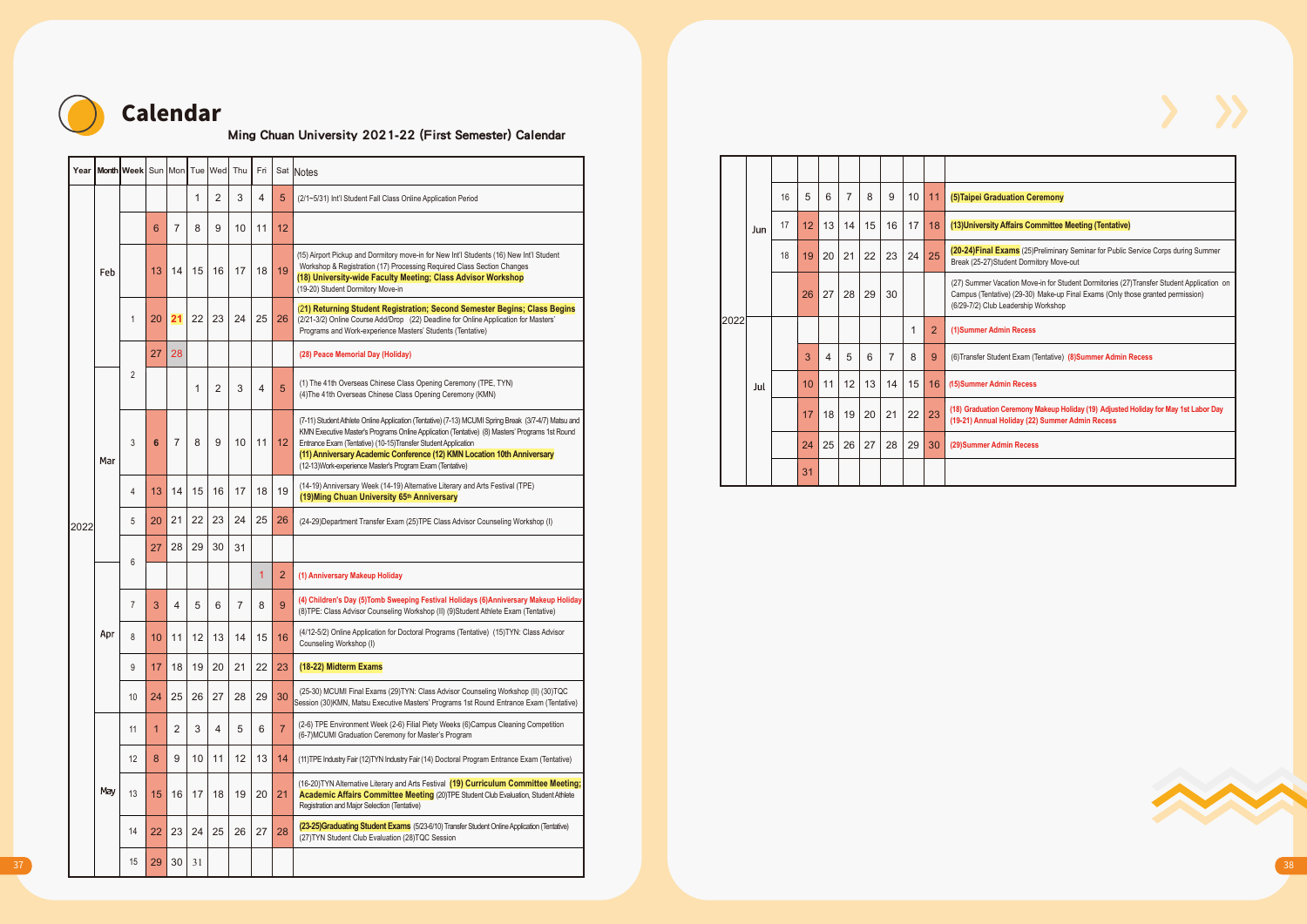

# Calendar

### Ming Chuan University 2021-22 (First Semester) Calendar

|      | Year Month Week Sun Mon Tue Wed Thu Fri Sat Notes |                |                 |                |                 |                |                      |                |                 |                                                                                                                                                                                                                                                                                                         |
|------|---------------------------------------------------|----------------|-----------------|----------------|-----------------|----------------|----------------------|----------------|-----------------|---------------------------------------------------------------------------------------------------------------------------------------------------------------------------------------------------------------------------------------------------------------------------------------------------------|
|      |                                                   |                |                 |                | $\mathbf{1}$    | $2^{\circ}$    | $\mathbf{3}$         | $\overline{4}$ | $5\phantom{.0}$ | (2/1~5/31) Int'l Student Fall Class Online Application Period                                                                                                                                                                                                                                           |
|      |                                                   |                | 6 <sup>°</sup>  | $\overline{7}$ | 8               | 9              | $10$ 11              |                | 12              |                                                                                                                                                                                                                                                                                                         |
|      | Feb                                               |                |                 |                |                 |                | 13 14 15 16 17 18 19 |                |                 | (15) Airport Pickup and Dormitory move-in for New Int'l Students (16) New Int'l Student<br>Workshop & Registration (17) Processing Required Class Section Changes                                                                                                                                       |
|      |                                                   |                |                 |                |                 |                |                      |                |                 | (18) University-wide Faculty Meeting; Class Advisor Workshop<br>(19-20) Student Dormitory Move-in<br>(21) Returning Student Registration; Second Semester Begins; Class Begins                                                                                                                          |
|      |                                                   |                |                 |                |                 |                | 20 21 22 23 24 25 26 |                |                 | (2/21-3/2) Online Course Add/Drop (22) Deadline for Online Application for Masters'<br>Programs and Work-experience Masters' Students (Tentative)                                                                                                                                                       |
|      |                                                   |                | 27              | 28             |                 |                |                      |                |                 | (28) Peace Memorial Day (Holiday)                                                                                                                                                                                                                                                                       |
|      |                                                   | $\overline{2}$ |                 |                | $\overline{1}$  | $2^{\circ}$    | $\mathbf{3}$         | $\overline{4}$ | 5               | (1) The 41th Overseas Chinese Class Opening Ceremony (TPE, TYN)<br>(4) The 41th Overseas Chinese Class Opening Ceremony (KMN)                                                                                                                                                                           |
|      |                                                   |                |                 |                |                 |                |                      |                |                 | (7-11) Student Athlete Online Application (Tentative) (7-13) MCUMI Spring Break (3/7-4/7) Matsu and                                                                                                                                                                                                     |
|      | Mar                                               | $\mathbf{3}$   | 6 <sup>1</sup>  | $7^{\circ}$    |                 |                | 8 9 10 11 12         |                |                 | KMN Executive Master's Programs Online Application (Tentative) (8) Masters' Programs 1st Round<br>Entrance Exam (Tentative) (10-15)Transfer Student Application<br>(11) Anniversary Academic Conference (12) KMN Location 10th Anniversary<br>(12-13) Work-experience Master's Program Exam (Tentative) |
|      |                                                   | $\overline{4}$ | 13              | 14             |                 |                | $15 \mid 16 \mid 17$ | 18             | 19              | (14-19) Anniversary Week (14-19) Alternative Literary and Arts Festival (TPE)<br>(19) Ming Chuan University 65th Anniversary                                                                                                                                                                            |
| 2022 |                                                   | 5 <sup>5</sup> |                 | $20$   21      |                 | 22 23          |                      |                | 24 25 26        | (24-29) Department Transfer Exam (25) TPE Class Advisor Counseling Workshop (I)                                                                                                                                                                                                                         |
|      |                                                   |                | 27              | 28             |                 | 29 30 31       |                      |                |                 |                                                                                                                                                                                                                                                                                                         |
|      |                                                   | 6              |                 |                |                 |                |                      |                | 2               | (1) Anniversary Makeup Holiday                                                                                                                                                                                                                                                                          |
|      |                                                   | $7^{\circ}$    | $\overline{3}$  | $\overline{4}$ | $5\phantom{.0}$ | 6              | $\overline{7}$       | 8              | $\mathbf{g}$    | (4) Children's Day (5)Tomb Sweeping Festival Holidays (6)Anniversary Makeup Holiday<br>(8) TPE: Class Advisor Counseling Workshop (II) (9) Student Athlete Exam (Tentative)                                                                                                                             |
|      | Apr                                               | 8              | 10 <sup>1</sup> | 11             |                 | $12$   13      | 14                   | 15             | 16              | (4/12-5/2) Online Application for Doctoral Programs (Tentative) (15)TYN: Class Advisor<br>Counseling Workshop (I)                                                                                                                                                                                       |
|      |                                                   | 9              | 17              | 18             |                 |                | 19 20 21 22          |                | 23              | (18-22) Midterm Exams                                                                                                                                                                                                                                                                                   |
|      |                                                   | $10-10$        | 24              | 25             |                 | 26 27          | 28                   |                | 29 30           | (25-30) MCUMI Final Exams (29)TYN: Class Advisor Counseling Workshop (II) (30)TQC<br>Session (30)KMN, Matsu Executive Masters' Programs 1st Round Entrance Exam (Tentative)                                                                                                                             |
|      |                                                   | 11             |                 | $\overline{2}$ | $\mathbf{3}$    | $\overline{4}$ | $5\overline{)}$      | 6              |                 | (2-6) TPE Environment Week (2-6) Filial Piety Weeks (6)Campus Cleaning Competition<br>(6-7) MCUMI Graduation Ceremony for Master's Program                                                                                                                                                              |
|      |                                                   | 12             | 8               | 9              |                 | $10$ 11        | 12                   | 13             | 14              | (11) TPE Industry Fair (12) TYN Industry Fair (14) Doctoral Program Entrance Exam (Tentative)                                                                                                                                                                                                           |
|      | May                                               | 13             | 15              |                |                 |                | 16 17 18 19 20 21    |                |                 | (16-20)TYN Alternative Literary and Arts Festival (19) Curriculum Committee Meeting;<br>Academic Affairs Committee Meeting (20)TPE Student Club Evaluation, Student Athlete<br>Registration and Major Selection (Tentative)                                                                             |
|      |                                                   | 14             | 22              | 23             |                 |                | 24 25 26 27 28       |                |                 | (23-25)Graduating Student Exams (5/23-6/10) Transfer Student Online Application (Tentative)<br>(27) TYN Student Club Evaluation (28) TQC Session                                                                                                                                                        |
|      |                                                   | 15             |                 | 29 30 31       |                 |                |                      |                |                 |                                                                                                                                                                                                                                                                                                         |

|      |     | 16 | 5  | 6  | $\overline{7}$ | 8  | 9              | 10 | 11             | (5) Taipei Graduation Ceremony                                                                                                                                                                                     |
|------|-----|----|----|----|----------------|----|----------------|----|----------------|--------------------------------------------------------------------------------------------------------------------------------------------------------------------------------------------------------------------|
|      | Jun | 17 | 12 | 13 | 14             | 15 | 16             | 17 | 18             | (13) University Affairs Committee Meeting (Tentative)                                                                                                                                                              |
|      |     | 18 | 19 | 20 | 21             | 22 | 23             | 24 | 25             | (20-24) Final Exams (25) Preliminary Seminar for Public Service Corps during Summer<br>Break (25-27)Student Dormitory Move-out                                                                                     |
|      |     |    | 26 | 27 | 28             | 29 | 30             |    |                | (27) Summer Vacation Move-in for Student Dormitories (27) Transfer Student Application on<br>Campus (Tentative) (29-30) Make-up Final Exams (Only those granted permission)<br>(6/29-7/2) Club Leadership Workshop |
| 2022 |     |    |    |    |                |    |                | 1  | $\overline{2}$ | (1)Summer Admin Recess                                                                                                                                                                                             |
|      |     |    | 3  | 4  | 5              | 6  | $\overline{7}$ | 8  | 9              | (6) Transfer Student Exam (Tentative) (8) Summer Admin Recess                                                                                                                                                      |
|      | Jul |    | 10 | 11 | 12             | 13 | 14             | 15 | 16             | (15)Summer Admin Recess                                                                                                                                                                                            |
|      |     |    | 17 | 18 | 19             | 20 | 21             | 22 | 23             | (18) Graduation Ceremony Makeup Holiday (19) Adjusted Holiday for May 1st Labor Day<br>(19-21) Annual Holiday (22) Summer Admin Recess                                                                             |
|      |     |    | 24 | 25 | 26             | 27 | 28             | 29 | 30             | (29) Summer Admin Recess                                                                                                                                                                                           |
|      |     |    | 31 |    |                |    |                |    |                |                                                                                                                                                                                                                    |



 $>$   $\rightarrow$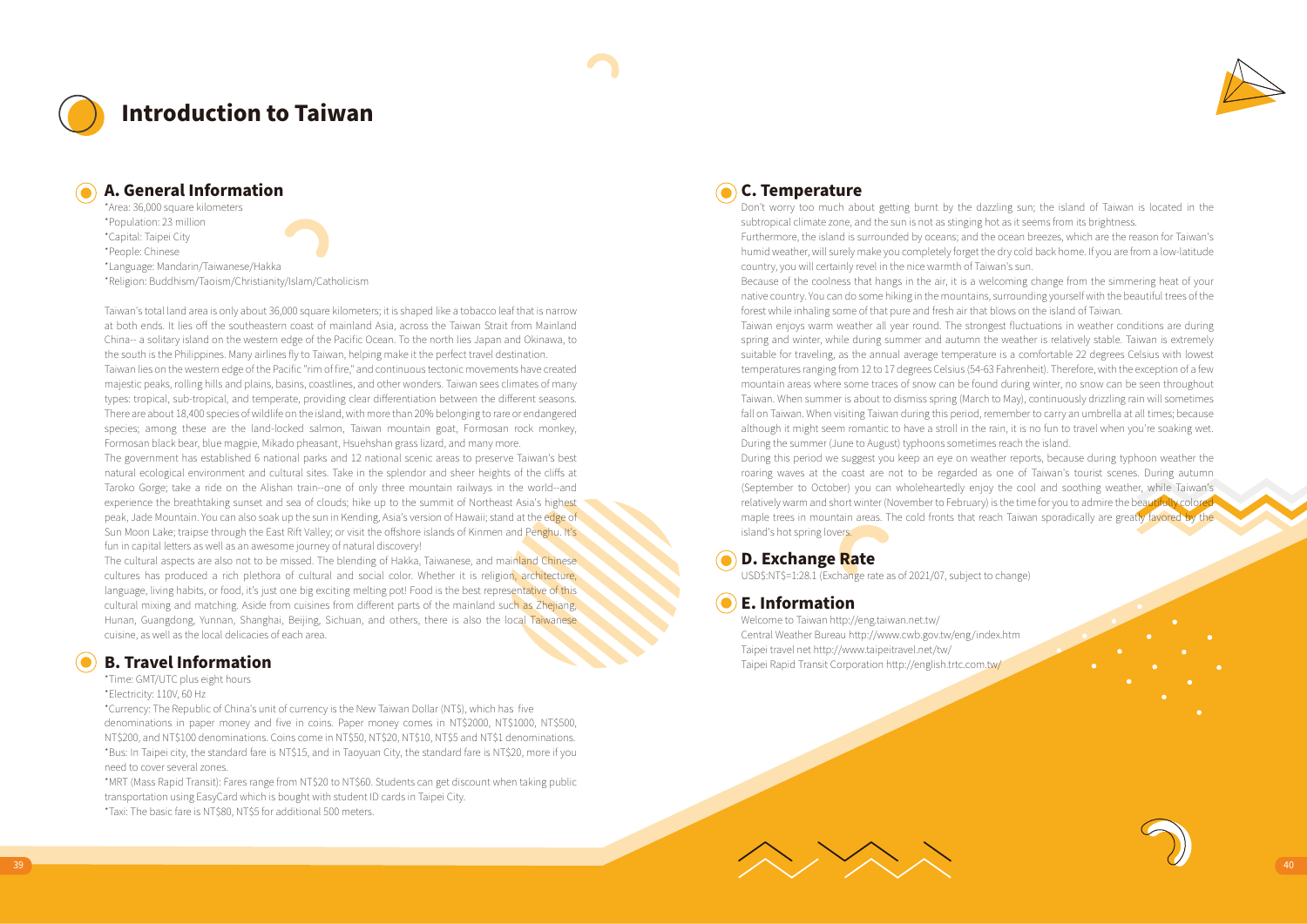

## Introduction to Taiwan



### A. General Information

\*Area: 36,000 square kilometers \*Population: 23 million \*Capital: Taipei City \*People: Chinese \*Language: Mandarin/Taiwanese/Hakka

\*Religion: Buddhism/Taoism/Christianity/Islam/Catholicism

Taiwan's total land area is only about 36,000 square kilometers; it is shaped like a tobacco leaf that is narrow at both ends. It lies off the southeastern coast of mainland Asia, across the Taiwan Strait from Mainland China-- a solitary island on the western edge of the Pacific Ocean. To the north lies Japan and Okinawa, to the south is the Philippines. Many airlines fly to Taiwan, helping make it the perfect travel destination.

Taiwan lies on the western edge of the Pacific "rim of fire," and continuous tectonic movements have created majestic peaks, rolling hills and plains, basins, coastlines, and other wonders. Taiwan sees climates of many types: tropical, sub-tropical, and temperate, providing clear differentiation between the different seasons. There are about 18,400 species of wildlife on the island, with more than 20% belonging to rare or endangered species; among these are the land-locked salmon, Taiwan mountain goat, Formosan rock monkey, Formosan black bear, blue magpie, Mikado pheasant, Hsuehshan grass lizard, and many more.

The government has established 6 national parks and 12 national scenic areas to preserve Taiwan's best natural ecological environment and cultural sites. Take in the splendor and sheer heights of the cliffs at Taroko Gorge; take a ride on the Alishan train--one of only three mountain railways in the world--and experience the breathtaking sunset and sea of clouds; hike up to the summit of Northeast Asia's highest peak, Jade Mountain. You can also soak up the sun in Kending, Asia's version of Hawaii; stand at the edge of Sun Moon Lake; traipse through the East Rift Valley; or visit the offshore islands of Kinmen and Penghu. It's fun in capital letters as well as an awesome journey of natural discovery!

The cultural aspects are also not to be missed. The blending of Hakka, Taiwanese, and mainland Chinese cultures has produced a rich plethora of cultural and social color. Whether it is religion, architecture, language, living habits, or food, it's just one big exciting melting pot! Food is the best representative of this cultural mixing and matching. Aside from cuisines from different parts of the mainland such as Zhejiang, Hunan, Guangdong, Yunnan, Shanghai, Beijing, Sichuan, and others, there is also the local Taiwanese cuisine, as well as the local delicacies of each area.

### B. Travel Information

### \*Time: GMT/UTC plus eight hours

\*Electricity: 110V, 60 Hz

\*Currency: The Republic of China's unit of currency is the New Taiwan Dollar (NT\$), which has five denominations in paper money and five in coins. Paper money comes in NT\$2000, NT\$1000, NT\$500, NT\$200, and NT\$100 denominations. Coins come in NT\$50, NT\$20, NT\$10, NT\$5 and NT\$1 denominations. \*Bus: In Taipei city, the standard fare is NT\$15, and in Taoyuan City, the standard fare is NT\$20, more if you need to cover several zones.

\*MRT (Mass Rapid Transit): Fares range from NT\$20 to NT\$60. Students can get discount when taking public transportation using EasyCard which is bought with student ID cards in Taipei City.

\*Taxi: The basic fare is NT\$80, NT\$5 for additional 500 meters.

### C. Temperature

Don't worry too much about getting burnt by the dazzling sun; the island of Taiwan is located in the subtropical climate zone, and the sun is not as stinging hot as it seems from its brightness.

Furthermore, the island is surrounded by oceans; and the ocean breezes, which are the reason for Taiwan's humid weather, will surely make you completely forget the dry cold back home. If you are from a low-latitude country, you will certainly revel in the nice warmth of Taiwan's sun.

Because of the coolness that hangs in the air, it is a welcoming change from the simmering heat of your native country. You can do some hiking in the mountains, surrounding yourself with the beautiful trees of the forest while inhaling some of that pure and fresh air that blows on the island of Taiwan.

Taiwan enjoys warm weather all year round. The strongest fluctuations in weather conditions are during spring and winter, while during summer and autumn the weather is relatively stable. Taiwan is extremely suitable for traveling, as the annual average temperature is a comfortable 22 degrees Celsius with lowest temperatures ranging from 12 to 17 degrees Celsius (54-63 Fahrenheit). Therefore, with the exception of a few mountain areas where some traces of snow can be found during winter, no snow can be seen throughout Taiwan. When summer is about to dismiss spring (March to May), continuously drizzling rain will sometimes fall on Taiwan. When visiting Taiwan during this period, remember to carry an umbrella at all times; because although it might seem romantic to have a stroll in the rain, it is no fun to travel when you're soaking wet. During the summer (June to August) typhoons sometimes reach the island.

During this period we suggest you keep an eye on weather reports, because during typhoon weather the roaring waves at the coast are not to be regarded as one of Taiwan's tourist scenes. During autumn (September to October) you can wholeheartedly enjoy the cool and soothing weather, while Taiwan's relatively warm and short winter (November to February) is the time for you to admire the beautifully colore maple trees in mountain areas. The cold fronts that reach Taiwan sporadically are greatly favored by the island's hot spring lovers.

### D. Exchange Rate

USD\$:NT\$=1:28.1 (Exchange rate as of 2021/07, subject to change)

### $\left( \bullet \right)$  E. Information

Welcome to Taiwan http://eng.taiwan.net.tw/ Central Weather Bureau http://www.cwb.gov.tw/eng/index.htm Taipei travel net http://www.taipeitravel.net/tw/ Taipei Rapid Transit Corporation http://english.trtc.com.tw/